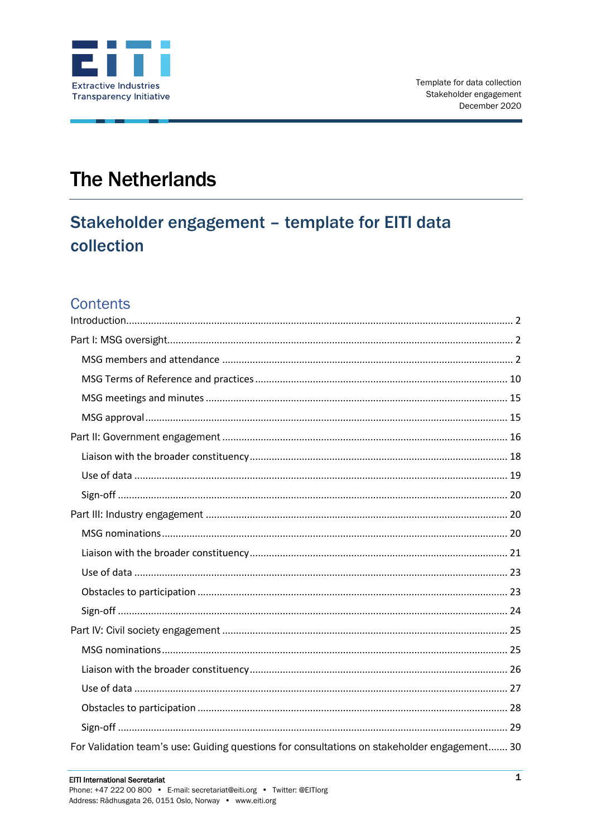

# **The Netherlands**

# Stakeholder engagement - template for EITI data collection

## Contents

| For Validation team's use: Guiding questions for consultations on stakeholder engagement 30 |
|---------------------------------------------------------------------------------------------|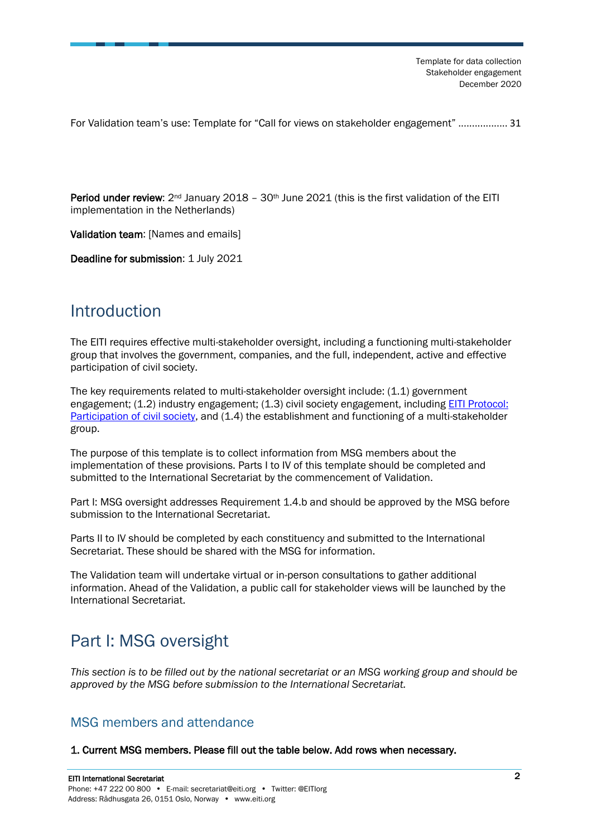[For Validation team's use: Template for "Call for views on stakeholder engagement"](#page-30-0) .................. [31](#page-30-0)

**Period under review:**  $2^{nd}$  January 2018 –  $30^{th}$  June 2021 (this is the first validation of the EITI implementation in the Netherlands)

Validation team: [Names and emails]

Deadline for submission: 1 July 2021

## <span id="page-1-0"></span>Introduction

The EITI requires effective multi-stakeholder oversight, including a functioning multi-stakeholder group that involves the government, companies, and the full, independent, active and effective participation of civil society.

The key requirements related to multi-stakeholder oversight include: (1.1) government engagement; (1.2) industry engagement; (1.3) civil society engagement, including [EITI Protocol:](https://eiti.org/document/eiti-protocol-participation-of-civil-society)  [Participation of civil society,](https://eiti.org/document/eiti-protocol-participation-of-civil-society) and (1.4) the establishment and functioning of a multi-stakeholder group.

The purpose of this template is to collect information from MSG members about the implementation of these provisions. Parts I to IV of this template should be completed and submitted to the International Secretariat by the commencement of Validation.

Part I: MSG oversight addresses Requirement 1.4.b and should be approved by the MSG before submission to the International Secretariat.

Parts II to IV should be completed by each constituency and submitted to the International Secretariat. These should be shared with the MSG for information.

The Validation team will undertake virtual or in-person consultations to gather additional information. Ahead of the Validation, a public call for stakeholder views will be launched by the International Secretariat.

## <span id="page-1-1"></span>Part I: MSG oversight

*This section is to be filled out by the national secretariat or an MSG working group and should be approved by the MSG before submission to the International Secretariat.*

### <span id="page-1-2"></span>MSG members and attendance

1. Current MSG members. Please fill out the table below. Add rows when necessary.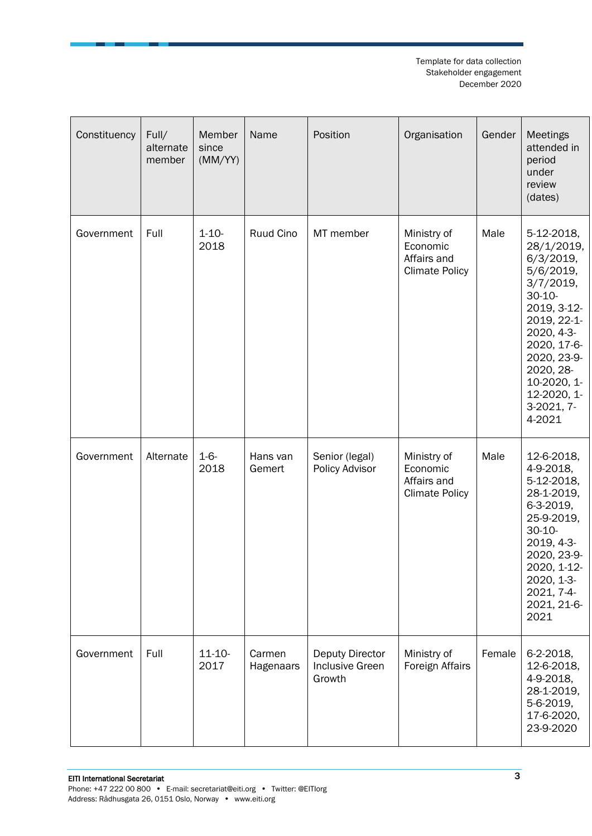| Constituency | Full/<br>alternate<br>member | Member<br>since<br>(MM/YY) | Name                | Position                                                   | Organisation                                                    | Gender | Meetings<br>attended in<br>period<br>under<br>review<br>(dates)                                                                                                                                                                |
|--------------|------------------------------|----------------------------|---------------------|------------------------------------------------------------|-----------------------------------------------------------------|--------|--------------------------------------------------------------------------------------------------------------------------------------------------------------------------------------------------------------------------------|
| Government   | Full                         | $1 - 10 -$<br>2018         | Ruud Cino           | MT member                                                  | Ministry of<br>Economic<br>Affairs and<br><b>Climate Policy</b> | Male   | 5-12-2018,<br>28/1/2019,<br>6/3/2019,<br>$5/6/2019$ ,<br>3/7/2019,<br>$30 - 10 -$<br>2019, 3-12-<br>2019, 22-1-<br>2020, 4-3-<br>2020, 17-6-<br>2020, 23-9-<br>2020, 28-<br>10-2020, 1-<br>12-2020, 1-<br>3-2021, 7-<br>4-2021 |
| Government   | Alternate                    | $1 - 6 -$<br>2018          | Hans van<br>Gemert  | Senior (legal)<br>Policy Advisor                           | Ministry of<br>Economic<br>Affairs and<br><b>Climate Policy</b> | Male   | 12-6-2018,<br>4-9-2018,<br>5-12-2018,<br>28-1-2019,<br>6-3-2019,<br>25-9-2019,<br>$30 - 10 -$<br>2019, 4-3-<br>2020, 23-9-<br>2020, 1-12-<br>2020, 1-3-<br>2021, 7-4-<br>2021, 21-6-<br>2021                                   |
| Government   | Full                         | $11 - 10 -$<br>2017        | Carmen<br>Hagenaars | <b>Deputy Director</b><br><b>Inclusive Green</b><br>Growth | Ministry of<br>Foreign Affairs                                  | Female | 6-2-2018,<br>12-6-2018,<br>4-9-2018,<br>28-1-2019,<br>5-6-2019,<br>17-6-2020,<br>23-9-2020                                                                                                                                     |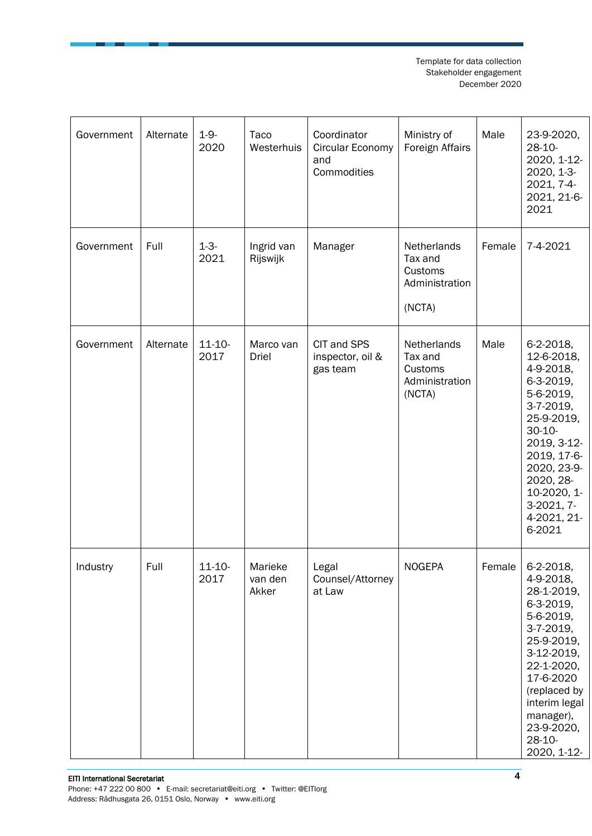| Government | Alternate | $1 - 9 -$<br>2020   | Taco<br>Westerhuis          | Coordinator<br>Circular Economy<br>and<br>Commodities | Ministry of<br>Foreign Affairs                                | Male   | 23-9-2020,<br>$28-10-$<br>2020, 1-12-<br>2020, 1-3-<br>2021, 7-4-<br>2021, 21-6-<br>2021                                                                                                                                   |
|------------|-----------|---------------------|-----------------------------|-------------------------------------------------------|---------------------------------------------------------------|--------|----------------------------------------------------------------------------------------------------------------------------------------------------------------------------------------------------------------------------|
| Government | Full      | $1 - 3 -$<br>2021   | Ingrid van<br>Rijswijk      | Manager                                               | Netherlands<br>Tax and<br>Customs<br>Administration<br>(NCTA) | Female | 7-4-2021                                                                                                                                                                                                                   |
| Government | Alternate | $11 - 10 -$<br>2017 | Marco van<br><b>Driel</b>   | CIT and SPS<br>inspector, oil &<br>gas team           | Netherlands<br>Tax and<br>Customs<br>Administration<br>(NCTA) | Male   | 6-2-2018,<br>12-6-2018,<br>4-9-2018,<br>6-3-2019,<br>5-6-2019,<br>3-7-2019,<br>25-9-2019,<br>$30 - 10$<br>2019, 3-12-<br>2019, 17-6-<br>2020, 23-9-<br>2020, 28-<br>10-2020, 1-<br>3-2021, 7-<br>4-2021, 21-<br>6-2021     |
| Industry   | Full      | 11-10-<br>2017      | Marieke<br>van den<br>Akker | Legal<br>Counsel/Attorney<br>at Law                   | <b>NOGEPA</b>                                                 | Female | 6-2-2018,<br>4-9-2018,<br>28-1-2019,<br>6-3-2019,<br>5-6-2019,<br>$3-7-2019$ ,<br>25-9-2019,<br>3-12-2019,<br>22-1-2020,<br>17-6-2020<br>(replaced by<br>interim legal<br>manager),<br>23-9-2020,<br>28-10-<br>2020, 1-12- |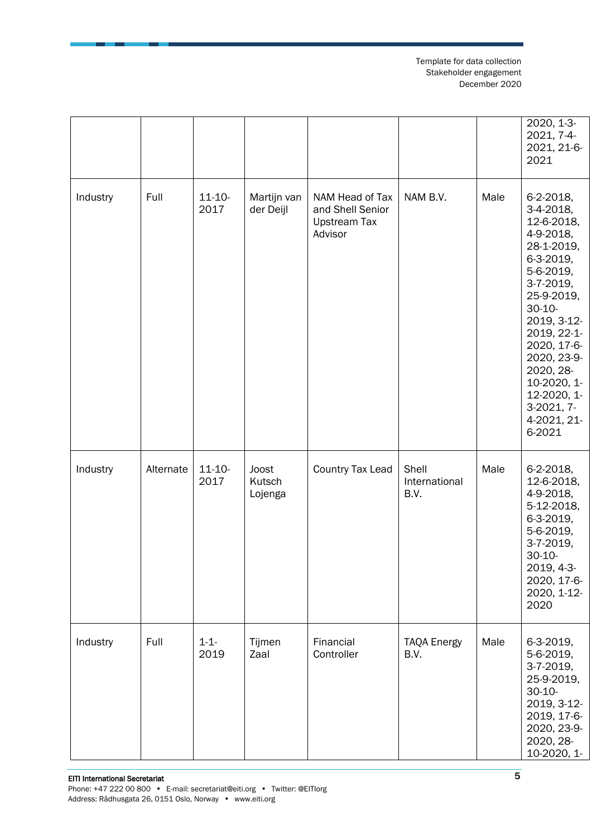|          |           |                     |                            |                                                                       |                                |      | 2020, 1-3-<br>2021, 7-4-<br>2021, 21-6-<br>2021                                                                                                                                                                                                                                     |
|----------|-----------|---------------------|----------------------------|-----------------------------------------------------------------------|--------------------------------|------|-------------------------------------------------------------------------------------------------------------------------------------------------------------------------------------------------------------------------------------------------------------------------------------|
| Industry | Full      | $11 - 10 -$<br>2017 | Martijn van<br>der Deijl   | NAM Head of Tax<br>and Shell Senior<br><b>Upstream Tax</b><br>Advisor | NAM B.V.                       | Male | 6-2-2018,<br>3-4-2018,<br>12-6-2018,<br>4-9-2018,<br>28-1-2019,<br>6-3-2019,<br>5-6-2019,<br>$3-7-2019,$<br>25-9-2019,<br>$30 - 10 -$<br>2019, 3-12-<br>2019, 22-1-<br>2020, 17-6-<br>2020, 23-9-<br>2020, 28-<br>10-2020, 1-<br>12-2020, 1-<br>3-2021, 7-<br>4-2021, 21-<br>6-2021 |
| Industry | Alternate | $11 - 10 -$<br>2017 | Joost<br>Kutsch<br>Lojenga | Country Tax Lead                                                      | Shell<br>International<br>B.V. | Male | 6-2-2018,<br>12-6-2018,<br>4-9-2018,<br>5-12-2018,<br>6-3-2019,<br>5-6-2019,<br>3-7-2019,<br>$30 - 10 -$<br>2019, 4-3-<br>2020, 17-6-<br>2020, 1-12-<br>2020                                                                                                                        |
| Industry | Full      | $1 - 1 -$<br>2019   | Tijmen<br>Zaal             | Financial<br>Controller                                               | <b>TAQA Energy</b><br>B.V.     | Male | 6-3-2019,<br>5-6-2019,<br>3-7-2019,<br>25-9-2019,<br>$30 - 10 -$<br>2019, 3-12-<br>2019, 17-6-<br>2020, 23-9-<br>2020, 28-<br>10-2020, 1-                                                                                                                                           |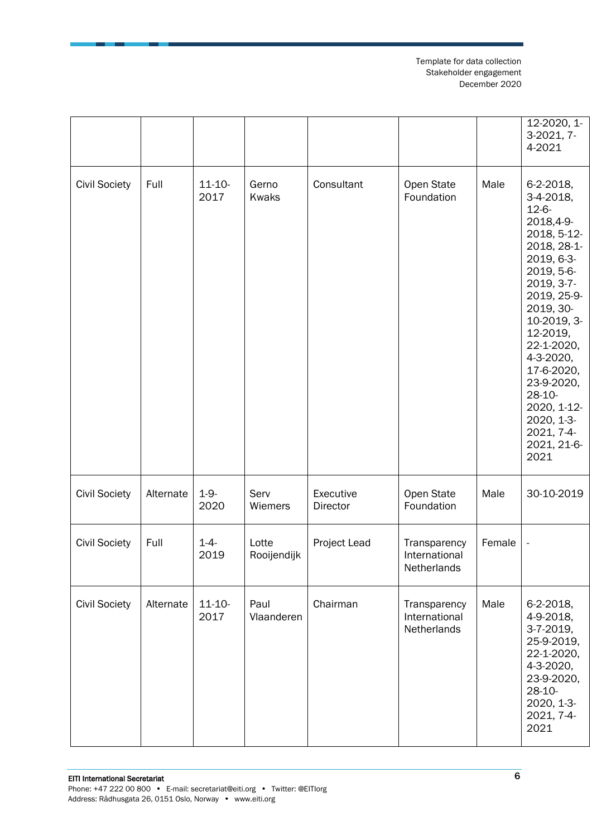|                      |           |                     |                       |                       |                                              |        | 12-2020, 1-<br>3-2021, 7-<br>4-2021                                                                                                                                                                                                                                                                                   |
|----------------------|-----------|---------------------|-----------------------|-----------------------|----------------------------------------------|--------|-----------------------------------------------------------------------------------------------------------------------------------------------------------------------------------------------------------------------------------------------------------------------------------------------------------------------|
| <b>Civil Society</b> | Full      | $11 - 10 -$<br>2017 | Gerno<br><b>Kwaks</b> | Consultant            | Open State<br>Foundation                     | Male   | 6-2-2018,<br>3-4-2018,<br>$12 - 6 -$<br>2018,4-9-<br>2018, 5-12-<br>2018, 28-1-<br>2019, 6-3-<br>2019, 5-6-<br>2019, 3-7-<br>2019, 25-9-<br>2019, 30-<br>10-2019, 3-<br>12-2019,<br>22-1-2020,<br>4-3-2020,<br>17-6-2020,<br>23-9-2020,<br>$28-10-$<br>2020, 1-12-<br>2020, 1-3-<br>2021, 7-4-<br>2021, 21-6-<br>2021 |
| <b>Civil Society</b> | Alternate | $1 - 9 -$<br>2020   | Serv<br>Wiemers       | Executive<br>Director | Open State<br>Foundation                     | Male   | 30-10-2019                                                                                                                                                                                                                                                                                                            |
| <b>Civil Society</b> | Full      | $1 - 4 -$<br>2019   | Lotte<br>Rooijendijk  | Project Lead          | Transparency<br>International<br>Netherlands | Female |                                                                                                                                                                                                                                                                                                                       |
| <b>Civil Society</b> | Alternate | $11 - 10 -$<br>2017 | Paul<br>Vlaanderen    | Chairman              | Transparency<br>International<br>Netherlands | Male   | 6-2-2018,<br>4-9-2018,<br>3-7-2019,<br>25-9-2019,<br>22-1-2020,<br>4-3-2020,<br>23-9-2020,<br>28-10-<br>2020, 1-3-<br>2021, 7-4-<br>2021                                                                                                                                                                              |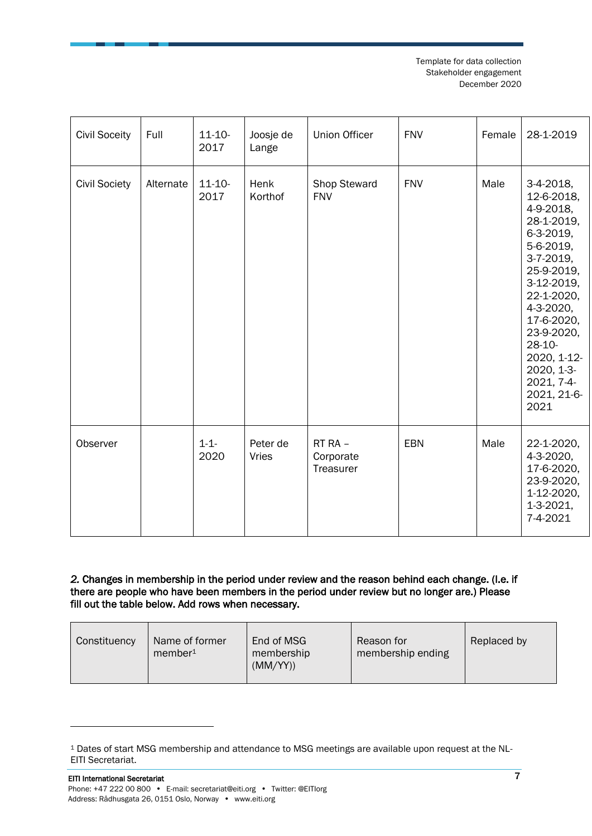| <b>Civil Soceity</b> | Full      | $11 - 10 -$<br>2017 | Joosje de<br>Lange       | <b>Union Officer</b>              | <b>FNV</b> | Female | 28-1-2019                                                                                                                                                                                                                                                   |
|----------------------|-----------|---------------------|--------------------------|-----------------------------------|------------|--------|-------------------------------------------------------------------------------------------------------------------------------------------------------------------------------------------------------------------------------------------------------------|
| <b>Civil Society</b> | Alternate | $11 - 10 -$<br>2017 | Henk<br>Korthof          | Shop Steward<br><b>FNV</b>        | <b>FNV</b> | Male   | $3-4-2018$ ,<br>12-6-2018,<br>4-9-2018,<br>28-1-2019,<br>6-3-2019,<br>5-6-2019,<br>3-7-2019,<br>25-9-2019,<br>3-12-2019,<br>22-1-2020,<br>4-3-2020,<br>17-6-2020,<br>23-9-2020,<br>28-10-<br>2020, 1-12-<br>2020, 1-3-<br>2021, 7-4-<br>2021, 21-6-<br>2021 |
| Observer             |           | $1 - 1 -$<br>2020   | Peter de<br><b>Vries</b> | RT RA -<br>Corporate<br>Treasurer | <b>EBN</b> | Male   | 22-1-2020,<br>4-3-2020,<br>17-6-2020,<br>23-9-2020,<br>1-12-2020,<br>1-3-2021,<br>7-4-2021                                                                                                                                                                  |

#### *2.* Changes in membership in the period under review and the reason behind each change. (I.e. if there are people who have been members in the period under review but no longer are.) Please fill out the table below. Add rows when necessary.

| Constituency | Name of former<br>$m$ ember <sup>1</sup> | End of MSG<br>membership<br>(MM/YY) | Reason for<br>membership ending | Replaced by |
|--------------|------------------------------------------|-------------------------------------|---------------------------------|-------------|
|--------------|------------------------------------------|-------------------------------------|---------------------------------|-------------|

<sup>1</sup> Dates of start MSG membership and attendance to MSG meetings are available upon request at the NL-EITI Secretariat.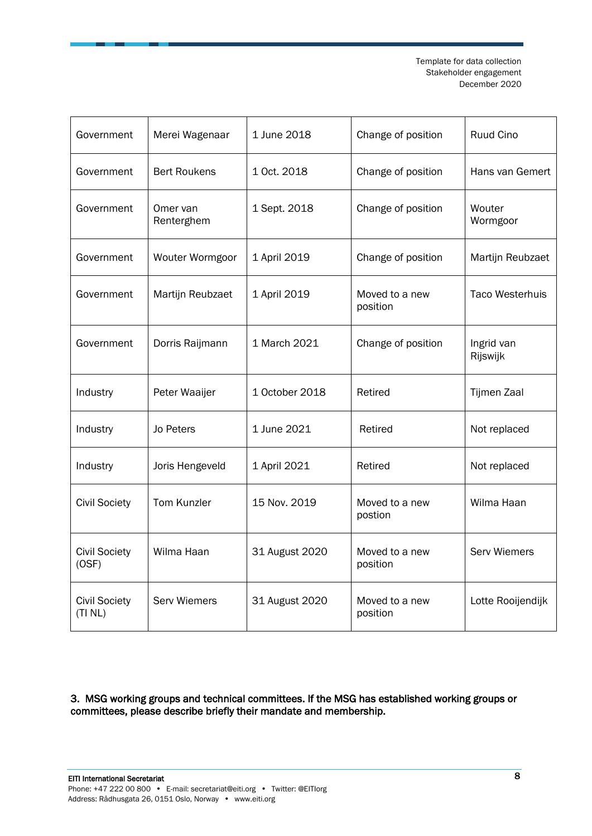| Government                      | Merei Wagenaar         | 1 June 2018    | Change of position         | Ruud Cino              |
|---------------------------------|------------------------|----------------|----------------------------|------------------------|
| Government                      | <b>Bert Roukens</b>    | 1 Oct. 2018    | Change of position         | Hans van Gemert        |
| Government                      | Omer van<br>Renterghem | 1 Sept. 2018   | Change of position         | Wouter<br>Wormgoor     |
| Government                      | Wouter Wormgoor        | 1 April 2019   | Change of position         | Martijn Reubzaet       |
| Government                      | Martijn Reubzaet       | 1 April 2019   | Moved to a new<br>position | <b>Taco Westerhuis</b> |
| Government                      | Dorris Raijmann        | 1 March 2021   | Change of position         | Ingrid van<br>Rijswijk |
| Industry                        | Peter Waaijer          | 1 October 2018 | Retired                    | Tijmen Zaal            |
| Industry                        | Jo Peters              | 1 June 2021    | Retired                    | Not replaced           |
| Industry                        | Joris Hengeveld        | 1 April 2021   | Retired                    | Not replaced           |
| <b>Civil Society</b>            | Tom Kunzler            | 15 Nov. 2019   | Moved to a new<br>postion  | Wilma Haan             |
| <b>Civil Society</b><br>(OSF)   | Wilma Haan             | 31 August 2020 | Moved to a new<br>position | <b>Serv Wiemers</b>    |
| <b>Civil Society</b><br>(TI NL) | <b>Serv Wiemers</b>    | 31 August 2020 | Moved to a new<br>position | Lotte Rooijendijk      |

3. MSG working groups and technical committees. If the MSG has established working groups or committees, please describe briefly their mandate and membership.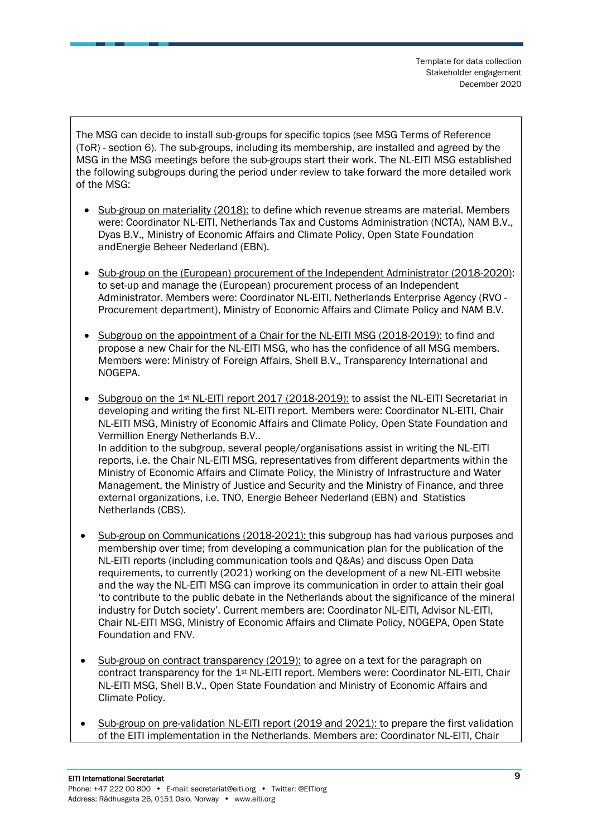The MSG can decide to install sub-groups for specific topics (see MSG Terms of Reference (ToR) - section 6). The sub-groups, including its membership, are installed and agreed by the MSG in the MSG meetings before the sub-groups start their work. The NL-EITI MSG established the following subgroups during the period under review to take forward the more detailed work of the MSG:

- Sub-group on materiality (2018): to define which revenue streams are material. Members were: Coordinator NL-EITI, Netherlands Tax and Customs Administration (NCTA), NAM B.V., Dyas B.V., Ministry of Economic Affairs and Climate Policy, Open State Foundation andEnergie Beheer Nederland (EBN).
- Sub-group on the (European) procurement of the Independent Administrator (2018-2020): to set-up and manage the (European) procurement process of an Independent Administrator. Members were: Coordinator NL-EITI, Netherlands Enterprise Agency (RVO - Procurement department), Ministry of Economic Affairs and Climate Policy and NAM B.V.
- Subgroup on the appointment of a Chair for the NL-EITI MSG (2018-2019): to find and propose a new Chair for the NL-EITI MSG, who has the confidence of all MSG members. Members were: Ministry of Foreign Affairs, Shell B.V., Transparency International and NOGEPA.
- Subgroup on the 1st NL-EITI report 2017 (2018-2019): to assist the NL-EITI Secretariat in developing and writing the first NL-EITI report. Members were: Coordinator NL-EITI, Chair NL-EITI MSG, Ministry of Economic Affairs and Climate Policy, Open State Foundation and Vermillion Energy Netherlands B.V.. In addition to the subgroup, several people/organisations assist in writing the NL-EITI reports, i.e. the Chair NL-EITI MSG, representatives from different departments within the

Ministry of Economic Affairs and Climate Policy, the Ministry of Infrastructure and Water Management, the Ministry of Justice and Security and the Ministry of Finance, and three external organizations, i.e. TNO, Energie Beheer Nederland (EBN) and Statistics Netherlands (CBS).

- Sub-group on Communications (2018-2021): this subgroup has had various purposes and membership over time; from developing a communication plan for the publication of the NL-EITI reports (including communication tools and Q&As) and discuss Open Data requirements, to currently (2021) working on the development of a new NL-EITI website and the way the NL-EITI MSG can improve its communication in order to attain their goal 'to contribute to the public debate in the Netherlands about the significance of the mineral industry for Dutch society'. Current members are: Coordinator NL-EITI, Advisor NL-EITI, Chair NL-EITI MSG, Ministry of Economic Affairs and Climate Policy, NOGEPA, Open State Foundation and FNV.
- Sub-group on contract transparency (2019): to agree on a text for the paragraph on contract transparency for the 1<sup>st</sup> NL-EITI report. Members were: Coordinator NL-EITI, Chair NL-EITI MSG, Shell B.V., Open State Foundation and Ministry of Economic Affairs and Climate Policy.
- Sub-group on pre-validation NL-EITI report (2019 and 2021): to prepare the first validation of the EITI implementation in the Netherlands. Members are: Coordinator NL-EITI, Chair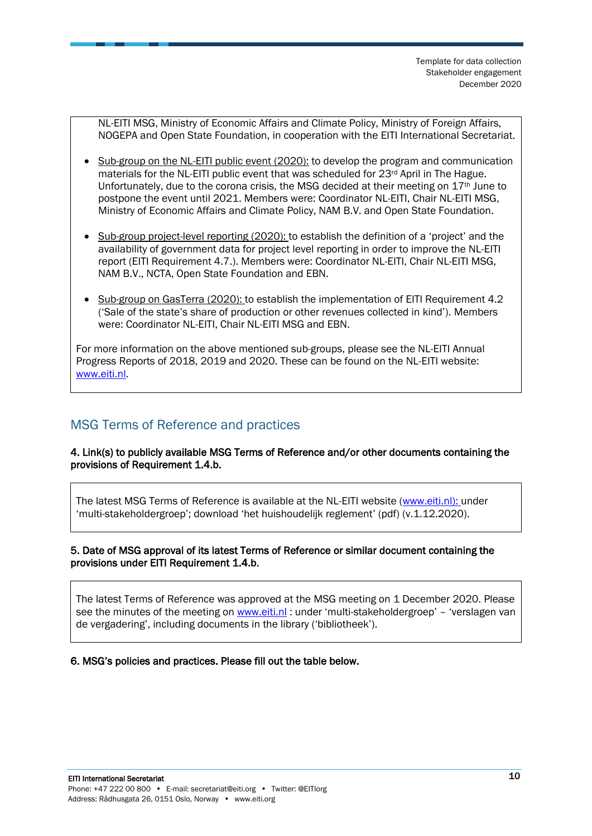NL-EITI MSG, Ministry of Economic Affairs and Climate Policy, Ministry of Foreign Affairs, NOGEPA and Open State Foundation, in cooperation with the EITI International Secretariat.

- Sub-group on the NL-EITI public event (2020): to develop the program and communication materials for the NL-EITI public event that was scheduled for 23rd April in The Hague. Unfortunately, due to the corona crisis, the MSG decided at their meeting on  $17<sup>th</sup>$  June to postpone the event until 2021. Members were: Coordinator NL-EITI, Chair NL-EITI MSG, Ministry of Economic Affairs and Climate Policy, NAM B.V. and Open State Foundation.
- Sub-group project-level reporting (2020): to establish the definition of a 'project' and the availability of government data for project level reporting in order to improve the NL-EITI report (EITI Requirement 4.7.). Members were: Coordinator NL-EITI, Chair NL-EITI MSG, NAM B.V., NCTA, Open State Foundation and EBN.
- Sub-group on GasTerra (2020): to establish the implementation of EITI Requirement 4.2 ('Sale of the state's share of production or other revenues collected in kind'). Members were: Coordinator NL-EITI, Chair NL-EITI MSG and EBN.

For more information on the above mentioned sub-groups, please see the NL-EITI Annual Progress Reports of 2018, 2019 and 2020. These can be found on the NL-EITI website: [www.eiti.nl.](http://www.eiti.nl/)

### <span id="page-9-0"></span>MSG Terms of Reference and practices

4. Link(s) to publicly available MSG Terms of Reference and/or other documents containing the provisions of Requirement 1.4.b.

The latest MSG Terms of Reference is available at the NL-EITI website [\(www.eiti.nl\)](http://www.eiti.nl/): under 'multi-stakeholdergroep'; download 'het huishoudelijk reglement' (pdf) (v.1.12.2020).

### 5. Date of MSG approval of its latest Terms of Reference or similar document containing the provisions under EITI Requirement 1.4.b.

The latest Terms of Reference was approved at the MSG meeting on 1 December 2020. Please see the minutes of the meeting on [www.eiti.nl](http://www.eiti.nl/): under 'multi-stakeholdergroep' – 'verslagen van de vergadering', including documents in the library ('bibliotheek').

6. MSG's policies and practices. Please fill out the table below.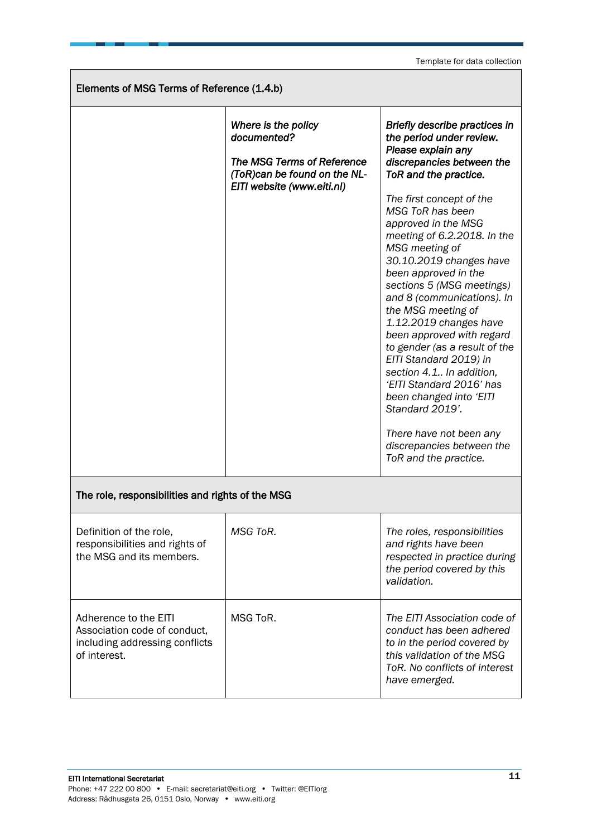Template for data collection

| Elements of MSG Terms of Reference (1.4.b)                                                              |                                                                                                                                       |                                                                                                                                                                                                                                                                                                                                                                                                                                                                                                                                                                                                                                                                                                            |  |  |
|---------------------------------------------------------------------------------------------------------|---------------------------------------------------------------------------------------------------------------------------------------|------------------------------------------------------------------------------------------------------------------------------------------------------------------------------------------------------------------------------------------------------------------------------------------------------------------------------------------------------------------------------------------------------------------------------------------------------------------------------------------------------------------------------------------------------------------------------------------------------------------------------------------------------------------------------------------------------------|--|--|
|                                                                                                         | Where is the policy<br>documented?<br><b>The MSG Terms of Reference</b><br>(ToR)can be found on the NL-<br>EITI website (www.eiti.nl) | Briefly describe practices in<br>the period under review.<br>Please explain any<br>discrepancies between the<br>ToR and the practice.<br>The first concept of the<br>MSG ToR has been<br>approved in the MSG<br>meeting of 6.2.2018. In the<br>MSG meeting of<br>30.10.2019 changes have<br>been approved in the<br>sections 5 (MSG meetings)<br>and 8 (communications). In<br>the MSG meeting of<br>1.12.2019 changes have<br>been approved with regard<br>to gender (as a result of the<br>EITI Standard 2019) in<br>section 4.1 In addition,<br>'EITI Standard 2016' has<br>been changed into 'EITI<br>Standard 2019'.<br>There have not been any<br>discrepancies between the<br>ToR and the practice. |  |  |
| The role, responsibilities and rights of the MSG                                                        |                                                                                                                                       |                                                                                                                                                                                                                                                                                                                                                                                                                                                                                                                                                                                                                                                                                                            |  |  |
| Definition of the role,<br>responsibilities and rights of<br>the MSG and its members.                   | MSG ToR.                                                                                                                              | The roles, responsibilities<br>and rights have been<br>respected in practice during<br>the period covered by this<br>validation.                                                                                                                                                                                                                                                                                                                                                                                                                                                                                                                                                                           |  |  |
| Adherence to the EITI<br>Association code of conduct,<br>including addressing conflicts<br>of interest. | MSG ToR.                                                                                                                              | The EITI Association code of<br>conduct has been adhered<br>to in the period covered by<br>this validation of the MSG<br>ToR. No conflicts of interest<br>have emerged.                                                                                                                                                                                                                                                                                                                                                                                                                                                                                                                                    |  |  |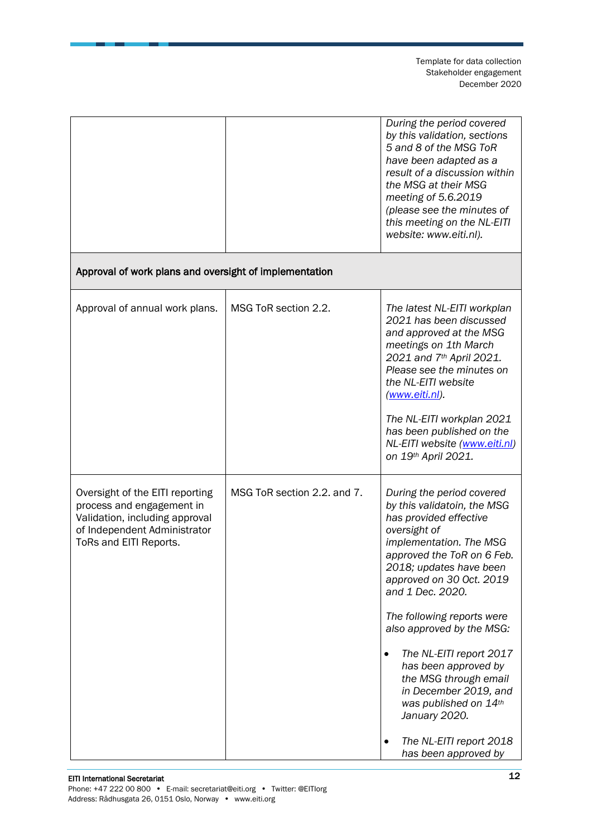|                                                                                                                                                          |                             | During the period covered<br>by this validation, sections<br>5 and 8 of the MSG ToR<br>have been adapted as a<br>result of a discussion within<br>the MSG at their MSG<br>meeting of 5.6.2019<br>(please see the minutes of<br>this meeting on the NL-EITI<br>website: www.eiti.nl).                                                                                                                                                                                                                                  |
|----------------------------------------------------------------------------------------------------------------------------------------------------------|-----------------------------|-----------------------------------------------------------------------------------------------------------------------------------------------------------------------------------------------------------------------------------------------------------------------------------------------------------------------------------------------------------------------------------------------------------------------------------------------------------------------------------------------------------------------|
| Approval of work plans and oversight of implementation                                                                                                   |                             |                                                                                                                                                                                                                                                                                                                                                                                                                                                                                                                       |
| Approval of annual work plans.                                                                                                                           | MSG ToR section 2.2.        | The latest NL-EITI workplan<br>2021 has been discussed<br>and approved at the MSG<br>meetings on 1th March<br>2021 and 7th April 2021.<br>Please see the minutes on<br>the NL-EITI website<br>(www.eiti.nl).<br>The NL-EITI workplan 2021<br>has been published on the<br>NL-EITI website (www.eiti.nl)<br>on 19th April 2021.                                                                                                                                                                                        |
| Oversight of the EITI reporting<br>process and engagement in<br>Validation, including approval<br>of Independent Administrator<br>ToRs and EITI Reports. | MSG ToR section 2.2. and 7. | During the period covered<br>by this validatoin, the MSG<br>has provided effective<br>oversight of<br>implementation. The MSG<br>approved the ToR on 6 Feb.<br>2018; updates have been<br>approved on 30 Oct. 2019<br>and 1 Dec. 2020.<br>The following reports were<br>also approved by the MSG:<br>The NL-EITI report 2017<br>$\bullet$<br>has been approved by<br>the MSG through email<br>in December 2019, and<br>was published on 14th<br>January 2020.<br>The NL-EITI report 2018<br>٠<br>has been approved by |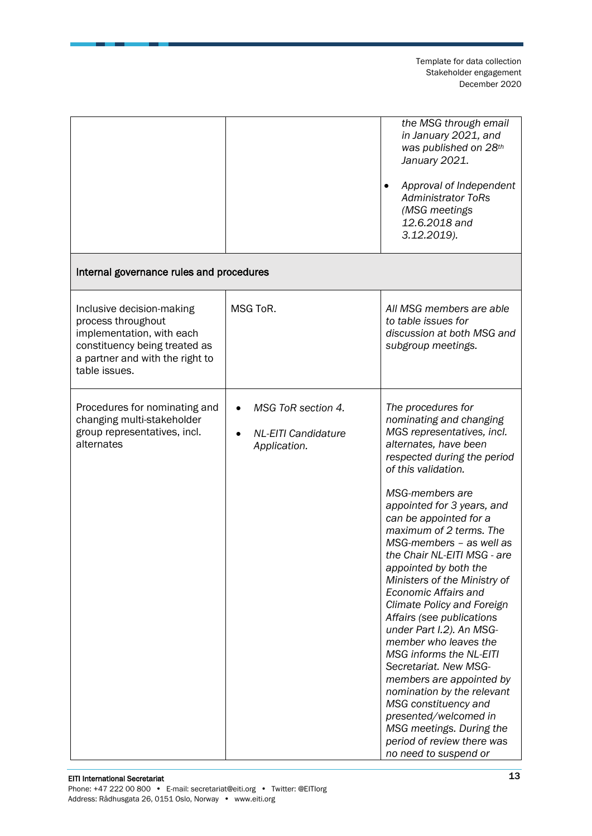|                                                                                                                                                                   |                                                                  | the MSG through email<br>in January 2021, and<br>was published on 28th<br>January 2021.<br>Approval of Independent<br>$\bullet$<br><b>Administrator ToRs</b><br>(MSG meetings<br>12.6.2018 and<br>3.12.2019).                                                                                                                                                                                                                                                                                                                                                                                                                                                                                                                                                                         |
|-------------------------------------------------------------------------------------------------------------------------------------------------------------------|------------------------------------------------------------------|---------------------------------------------------------------------------------------------------------------------------------------------------------------------------------------------------------------------------------------------------------------------------------------------------------------------------------------------------------------------------------------------------------------------------------------------------------------------------------------------------------------------------------------------------------------------------------------------------------------------------------------------------------------------------------------------------------------------------------------------------------------------------------------|
| Internal governance rules and procedures                                                                                                                          |                                                                  |                                                                                                                                                                                                                                                                                                                                                                                                                                                                                                                                                                                                                                                                                                                                                                                       |
| Inclusive decision-making<br>process throughout<br>implementation, with each<br>constituency being treated as<br>a partner and with the right to<br>table issues. | MSG ToR.                                                         | All MSG members are able<br>to table issues for<br>discussion at both MSG and<br>subgroup meetings.                                                                                                                                                                                                                                                                                                                                                                                                                                                                                                                                                                                                                                                                                   |
| Procedures for nominating and<br>changing multi-stakeholder<br>group representatives, incl.<br>alternates                                                         | MSG ToR section 4.<br><b>NL-EITI Candidature</b><br>Application. | The procedures for<br>nominating and changing<br>MGS representatives, incl.<br>alternates, have been<br>respected during the period<br>of this validation.<br>MSG-members are<br>appointed for 3 years, and<br>can be appointed for a<br>maximum of 2 terms. The<br>MSG-members - as well as<br>the Chair NL-EITI MSG - are<br>appointed by both the<br>Ministers of the Ministry of<br>Economic Affairs and<br>Climate Policy and Foreign<br>Affairs (see publications<br>under Part I.2). An MSG-<br>member who leaves the<br><b>MSG informs the NL-EITI</b><br>Secretariat. New MSG-<br>members are appointed by<br>nomination by the relevant<br>MSG constituency and<br>presented/welcomed in<br>MSG meetings. During the<br>period of review there was<br>no need to suspend or |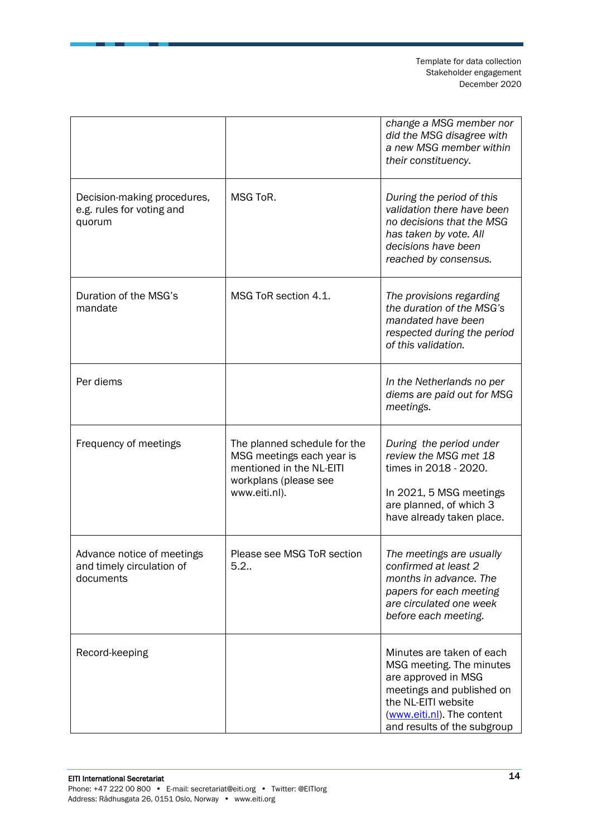|                                                                      |                                                                                                                                 | change a MSG member nor<br>did the MSG disagree with<br>a new MSG member within<br>their constituency.                                                                                        |
|----------------------------------------------------------------------|---------------------------------------------------------------------------------------------------------------------------------|-----------------------------------------------------------------------------------------------------------------------------------------------------------------------------------------------|
| Decision-making procedures,<br>e.g. rules for voting and<br>quorum   | MSG ToR.                                                                                                                        | During the period of this<br>validation there have been<br>no decisions that the MSG<br>has taken by vote. All<br>decisions have been<br>reached by consensus.                                |
| Duration of the MSG's<br>mandate                                     | MSG ToR section 4.1.                                                                                                            | The provisions regarding<br>the duration of the MSG's<br>mandated have been<br>respected during the period<br>of this validation.                                                             |
| Per diems                                                            |                                                                                                                                 | In the Netherlands no per<br>diems are paid out for MSG<br>meetings.                                                                                                                          |
| Frequency of meetings                                                | The planned schedule for the<br>MSG meetings each year is<br>mentioned in the NL-EITI<br>workplans (please see<br>www.eiti.nl). | During the period under<br>review the MSG met 18<br>times in 2018 - 2020.<br>In 2021, 5 MSG meetings<br>are planned, of which 3<br>have already taken place.                                  |
| Advance notice of meetings<br>and timely circulation of<br>documents | Please see MSG ToR section<br>5.2.                                                                                              | The meetings are usually<br>confirmed at least 2<br>months in advance. The<br>papers for each meeting<br>are circulated one week<br>before each meeting.                                      |
| Record-keeping                                                       |                                                                                                                                 | Minutes are taken of each<br>MSG meeting. The minutes<br>are approved in MSG<br>meetings and published on<br>the NL-EITI website<br>(www.eiti.nl). The content<br>and results of the subgroup |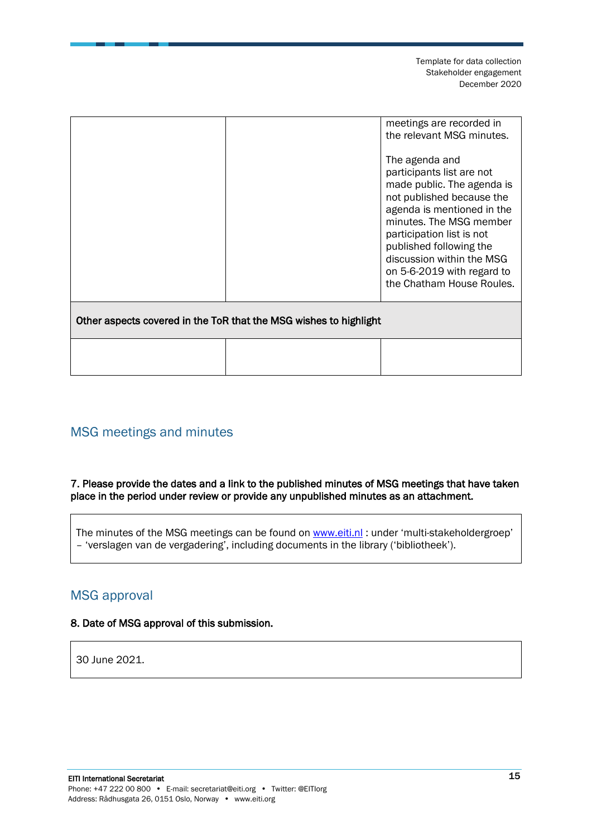|                                                                   | meetings are recorded in<br>the relevant MSG minutes.<br>The agenda and<br>participants list are not<br>made public. The agenda is<br>not published because the<br>agenda is mentioned in the<br>minutes. The MSG member<br>participation list is not<br>published following the<br>discussion within the MSG<br>on 5-6-2019 with regard to<br>the Chatham House Roules. |
|-------------------------------------------------------------------|--------------------------------------------------------------------------------------------------------------------------------------------------------------------------------------------------------------------------------------------------------------------------------------------------------------------------------------------------------------------------|
| Other aspects covered in the ToR that the MSG wishes to highlight |                                                                                                                                                                                                                                                                                                                                                                          |
|                                                                   |                                                                                                                                                                                                                                                                                                                                                                          |

### <span id="page-14-0"></span>MSG meetings and minutes

### 7. Please provide the dates and a link to the published minutes of MSG meetings that have taken place in the period under review or provide any unpublished minutes as an attachment.

The minutes of the MSG meetings can be found on [www.eiti.nl](http://www.eiti.nl/): under 'multi-stakeholdergroep' – 'verslagen van de vergadering', including documents in the library ('bibliotheek').

### <span id="page-14-1"></span>MSG approval

### 8. Date of MSG approval of this submission.

30 June 2021.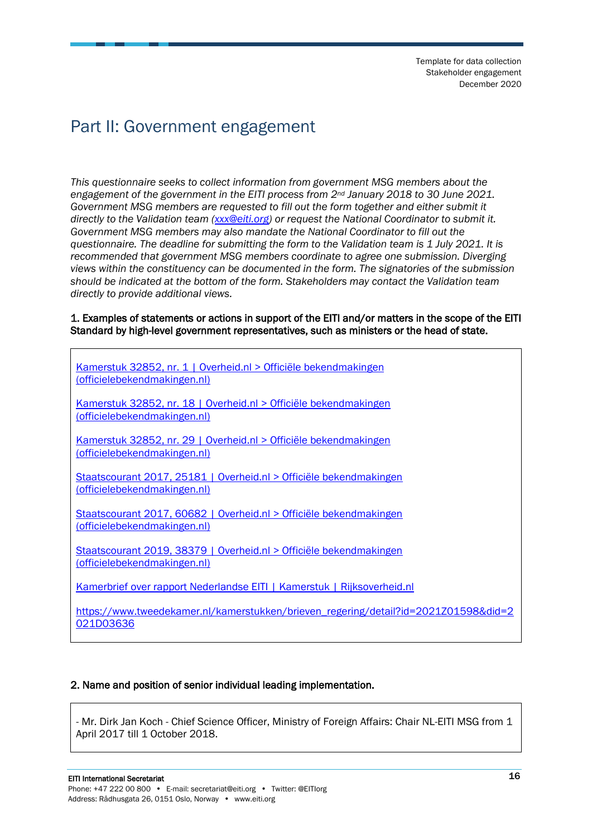## <span id="page-15-0"></span>Part II: Government engagement

*This questionnaire seeks to collect information from government MSG members about the engagement of the government in the EITI process from 2nd January 2018 to 30 June 2021. Government MSG members are requested to fill out the form together and either submit it directly to the Validation team [\(xxx@eiti.org\)](mailto:xxx@eiti.org) or request the National Coordinator to submit it. Government MSG members may also mandate the National Coordinator to fill out the questionnaire. The deadline for submitting the form to the Validation team is 1 July 2021. It is recommended that government MSG members coordinate to agree one submission. Diverging views within the constituency can be documented in the form. The signatories of the submission should be indicated at the bottom of the form. Stakeholders may contact the Validation team directly to provide additional views.*

#### 1. Examples of statements or actions in support of the EITI and/or matters in the scope of the EITI Standard by high-level government representatives, such as ministers or the head of state.

| Kamerstuk 32852, nr. 1   Overheid.nl > Officiële bekendmakingen<br>(officielebekendmakingen.nl)    |
|----------------------------------------------------------------------------------------------------|
| Kamerstuk 32852, nr. 18   Overheid.nl > Officiële bekendmakingen<br>(officielebekendmakingen.nl)   |
| Kamerstuk 32852, nr. 29   Overheid.nl > Officiële bekendmakingen<br>(officielebekendmakingen.nl)   |
| Staatscourant 2017, 25181   Overheid.nl > Officiële bekendmakingen<br>(officielebekendmakingen.nl) |
| Staatscourant 2017, 60682   Overheid.nl > Officiële bekendmakingen<br>(officielebekendmakingen.nl) |
| Staatscourant 2019, 38379   Overheid.nl > Officiële bekendmakingen<br>(officielebekendmakingen.nl) |
| Kamerbrief over rapport Nederlandse EITI   Kamerstuk   Rijksoverheid.nl                            |
| https://www.tweedekamer.nl/kamerstukken/brieven_regering/detail?id=2021Z01598&did=2<br>021D03636   |

### 2. Name and position of senior individual leading implementation.

- Mr. Dirk Jan Koch - Chief Science Officer, Ministry of Foreign Affairs: Chair NL-EITI MSG from 1 April 2017 till 1 October 2018.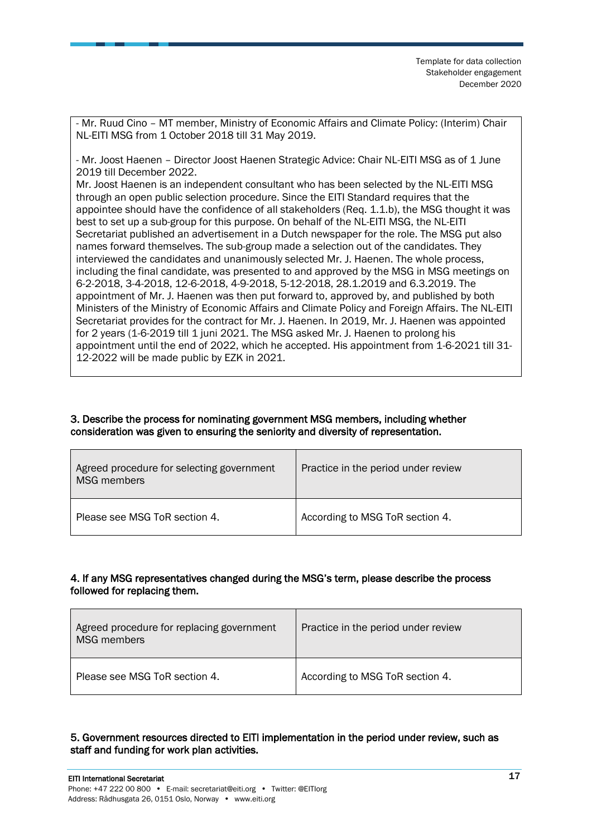- Mr. Ruud Cino – MT member, Ministry of Economic Affairs and Climate Policy: (Interim) Chair NL-EITI MSG from 1 October 2018 till 31 May 2019.

- Mr. Joost Haenen – Director Joost Haenen Strategic Advice: Chair NL-EITI MSG as of 1 June 2019 till December 2022.

Mr. Joost Haenen is an independent consultant who has been selected by the NL-EITI MSG through an open public selection procedure. Since the EITI Standard requires that the appointee should have the confidence of all stakeholders (Req. 1.1.b), the MSG thought it was best to set up a sub-group for this purpose. On behalf of the NL-EITI MSG, the NL-EITI Secretariat published an advertisement in a Dutch newspaper for the role. The MSG put also names forward themselves. The sub-group made a selection out of the candidates. They interviewed the candidates and unanimously selected Mr. J. Haenen. The whole process, including the final candidate, was presented to and approved by the MSG in MSG meetings on 6-2-2018, 3-4-2018, 12-6-2018, 4-9-2018, 5-12-2018, 28.1.2019 and 6.3.2019. The appointment of Mr. J. Haenen was then put forward to, approved by, and published by both Ministers of the Ministry of Economic Affairs and Climate Policy and Foreign Affairs. The NL-EITI Secretariat provides for the contract for Mr. J. Haenen. In 2019, Mr. J. Haenen was appointed for 2 years (1-6-2019 till 1 juni 2021. The MSG asked Mr. J. Haenen to prolong his appointment until the end of 2022, which he accepted. His appointment from 1-6-2021 till 31- 12-2022 will be made public by EZK in 2021.

#### 3. Describe the process for nominating government MSG members, including whether consideration was given to ensuring the seniority and diversity of representation.

| Agreed procedure for selecting government<br><b>MSG</b> members | Practice in the period under review |
|-----------------------------------------------------------------|-------------------------------------|
| Please see MSG ToR section 4.                                   | According to MSG ToR section 4.     |

### 4. If any MSG representatives changed during the MSG's term, please describe the process followed for replacing them.

| Agreed procedure for replacing government<br><b>MSG</b> members | Practice in the period under review |
|-----------------------------------------------------------------|-------------------------------------|
| Please see MSG ToR section 4.                                   | According to MSG ToR section 4.     |

### 5. Government resources directed to EITI implementation in the period under review, such as staff and funding for work plan activities.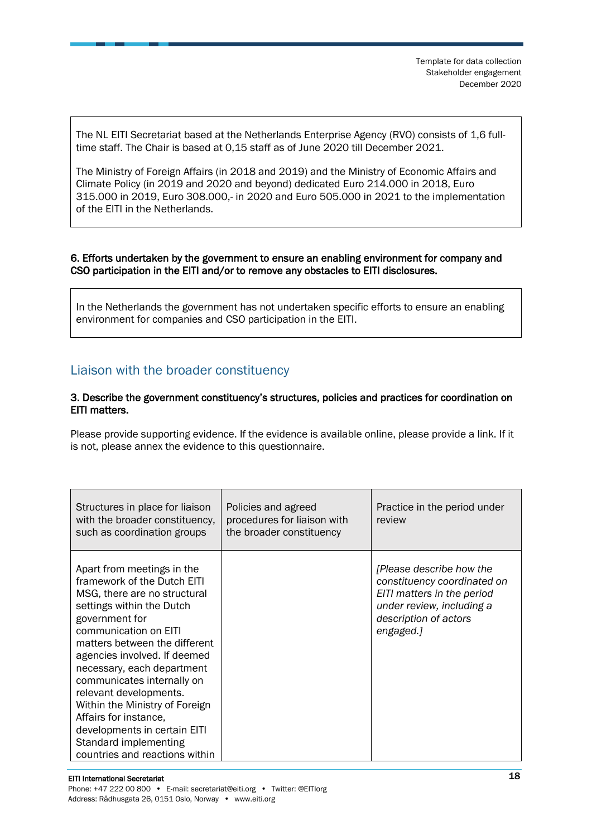The NL EITI Secretariat based at the Netherlands Enterprise Agency (RVO) consists of 1,6 fulltime staff. The Chair is based at 0,15 staff as of June 2020 till December 2021.

The Ministry of Foreign Affairs (in 2018 and 2019) and the Ministry of Economic Affairs and Climate Policy (in 2019 and 2020 and beyond) dedicated Euro 214.000 in 2018, Euro 315.000 in 2019, Euro 308.000,- in 2020 and Euro 505.000 in 2021 to the implementation of the EITI in the Netherlands.

#### 6. Efforts undertaken by the government to ensure an enabling environment for company and CSO participation in the EITI and/or to remove any obstacles to EITI disclosures.

In the Netherlands the government has not undertaken specific efforts to ensure an enabling environment for companies and CSO participation in the EITI.

### <span id="page-17-0"></span>Liaison with the broader constituency

#### 3. Describe the government constituency's structures, policies and practices for coordination on EITI matters.

Please provide supporting evidence. If the evidence is available online, please provide a link. If it is not, please annex the evidence to this questionnaire.

| Structures in place for liaison<br>with the broader constituency,<br>such as coordination groups                                                                                                                                                                                                                                                                                                                                                                               | Policies and agreed<br>procedures for liaison with<br>the broader constituency | Practice in the period under<br>review                                                                                                                   |
|--------------------------------------------------------------------------------------------------------------------------------------------------------------------------------------------------------------------------------------------------------------------------------------------------------------------------------------------------------------------------------------------------------------------------------------------------------------------------------|--------------------------------------------------------------------------------|----------------------------------------------------------------------------------------------------------------------------------------------------------|
| Apart from meetings in the<br>framework of the Dutch EITI<br>MSG, there are no structural<br>settings within the Dutch<br>government for<br>communication on EITI<br>matters between the different<br>agencies involved. If deemed<br>necessary, each department<br>communicates internally on<br>relevant developments.<br>Within the Ministry of Foreign<br>Affairs for instance,<br>developments in certain EITI<br>Standard implementing<br>countries and reactions within |                                                                                | [Please describe how the<br>constituency coordinated on<br>EITI matters in the period<br>under review, including a<br>description of actors<br>engaged.] |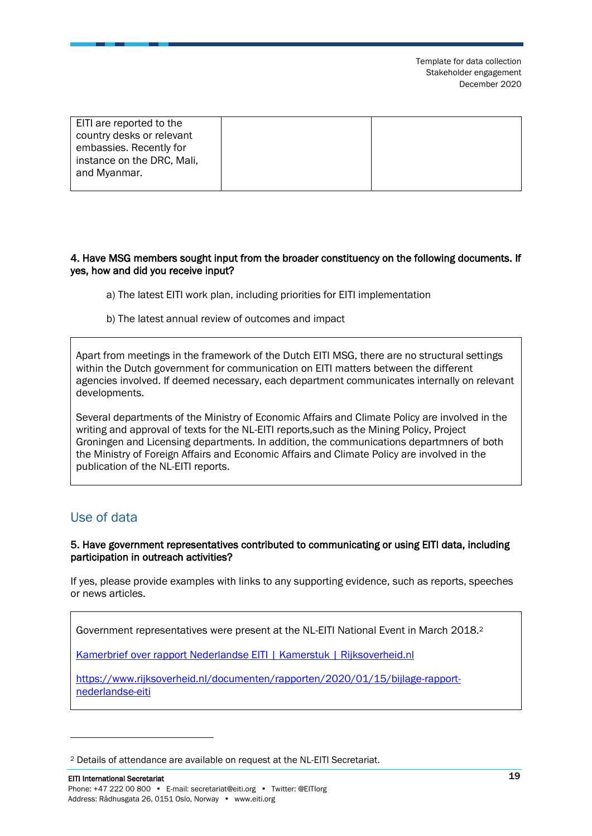| EITI are reported to the<br>country desks or relevant<br>embassies. Recently for |  |
|----------------------------------------------------------------------------------|--|
| instance on the DRC, Mali,                                                       |  |
| and Myanmar.                                                                     |  |

### 4. Have MSG members sought input from the broader constituency on the following documents. If yes, how and did you receive input?

- a) The latest EITI work plan, including priorities for EITI implementation
- b) The latest annual review of outcomes and impact

Apart from meetings in the framework of the Dutch EITI MSG, there are no structural settings within the Dutch government for communication on EITI matters between the different agencies involved. If deemed necessary, each department communicates internally on relevant developments.

Several departments of the Ministry of Economic Affairs and Climate Policy are involved in the writing and approval of texts for the NL-EITI reports,such as the Mining Policy, Project Groningen and Licensing departments. In addition, the communications departmners of both the Ministry of Foreign Affairs and Economic Affairs and Climate Policy are involved in the publication of the NL-EITI reports.

### <span id="page-18-0"></span>Use of data

#### 5. Have government representatives contributed to communicating or using EITI data, including participation in outreach activities?

If yes, please provide examples with links to any supporting evidence, such as reports, speeches or news articles.

Government representatives were present at the NL-EITI National Event in March 2018.<sup>2</sup>

[Kamerbrief over rapport Nederlandse EITI | Kamerstuk | Rijksoverheid.nl](https://www.rijksoverheid.nl/documenten/kamerstukken/2020/01/15/kamerbrief-over-rapport-nederlandse-eiti)

[https://www.rijksoverheid.nl/documenten/rapporten/2020/01/15/bijlage-rapport](https://www.rijksoverheid.nl/documenten/rapporten/2020/01/15/bijlage-rapport-nederlandse-eiti)[nederlandse-eiti](https://www.rijksoverheid.nl/documenten/rapporten/2020/01/15/bijlage-rapport-nederlandse-eiti)

<sup>2</sup> Details of attendance are available on request at the NL-EITI Secretariat.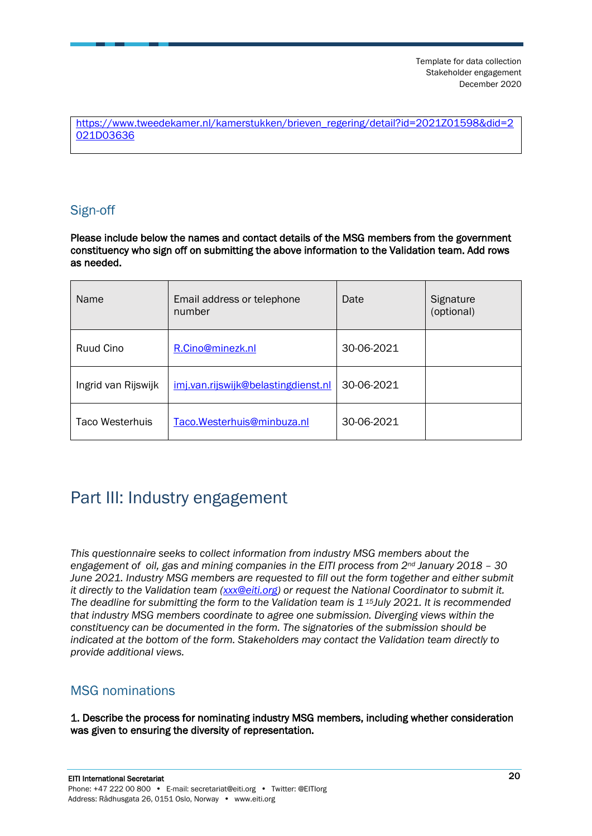[https://www.tweedekamer.nl/kamerstukken/brieven\\_regering/detail?id=2021Z01598&did=2](https://www.tweedekamer.nl/kamerstukken/brieven_regering/detail?id=2021Z01598&did=2021D03636) [021D03636](https://www.tweedekamer.nl/kamerstukken/brieven_regering/detail?id=2021Z01598&did=2021D03636)

### <span id="page-19-0"></span>Sign-off

Please include below the names and contact details of the MSG members from the government constituency who sign off on submitting the above information to the Validation team. Add rows as needed.

| Name                   | Email address or telephone<br>number | Date       | Signature<br>(optional) |
|------------------------|--------------------------------------|------------|-------------------------|
| Ruud Cino              | R.Cino@minezk.nl                     | 30-06-2021 |                         |
| Ingrid van Rijswijk    | imj.van.rijswijk@belastingdienst.nl  | 30-06-2021 |                         |
| <b>Taco Westerhuis</b> | Taco.Westerhuis@minbuza.nl           | 30-06-2021 |                         |

## <span id="page-19-1"></span>Part III: Industry engagement

*This questionnaire seeks to collect information from industry MSG members about the engagement of oil, gas and mining companies in the EITI process from 2nd January 2018 – 30 June 2021. Industry MSG members are requested to fill out the form together and either submit it directly to the Validation team [\(xxx@eiti.org\)](mailto:xxx@eiti.org) or request the National Coordinator to submit it. The deadline for submitting the form to the Validation team is 1 <sup>15</sup>July 2021. It is recommended that industry MSG members coordinate to agree one submission. Diverging views within the constituency can be documented in the form. The signatories of the submission should be indicated at the bottom of the form. Stakeholders may contact the Validation team directly to provide additional views.*

### <span id="page-19-2"></span>MSG nominations

1. Describe the process for nominating industry MSG members, including whether consideration was given to ensuring the diversity of representation.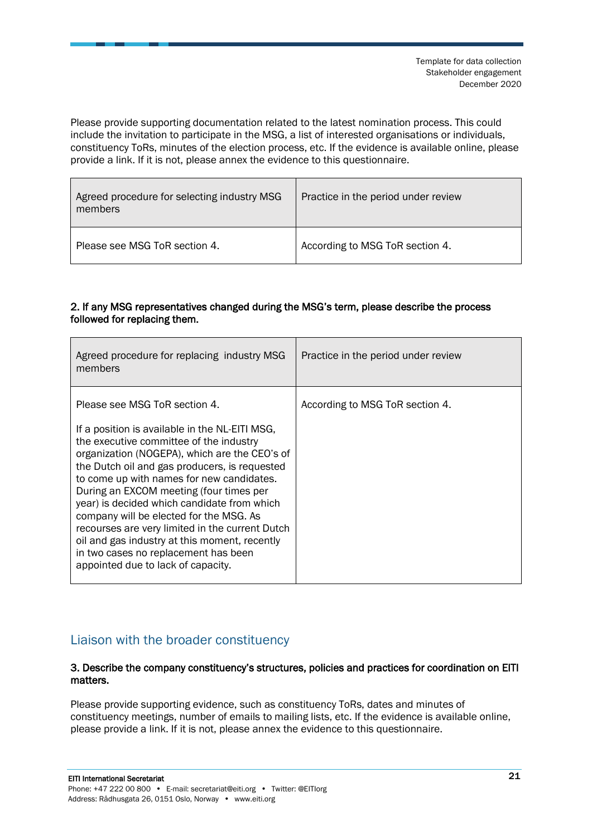Please provide supporting documentation related to the latest nomination process. This could include the invitation to participate in the MSG, a list of interested organisations or individuals, constituency ToRs, minutes of the election process, etc. If the evidence is available online, please provide a link. If it is not, please annex the evidence to this questionnaire.

| Agreed procedure for selecting industry MSG<br>members | Practice in the period under review |
|--------------------------------------------------------|-------------------------------------|
| Please see MSG ToR section 4.                          | According to MSG ToR section 4.     |

### 2. If any MSG representatives changed during the MSG's term, please describe the process followed for replacing them.

| Agreed procedure for replacing industry MSG<br>members                                                                                                                                                                                                                                                                                                                                                                                                                                                             | Practice in the period under review |
|--------------------------------------------------------------------------------------------------------------------------------------------------------------------------------------------------------------------------------------------------------------------------------------------------------------------------------------------------------------------------------------------------------------------------------------------------------------------------------------------------------------------|-------------------------------------|
| Please see MSG ToR section 4.<br>If a position is available in the NL-EITI MSG,<br>the executive committee of the industry<br>organization (NOGEPA), which are the CEO's of<br>the Dutch oil and gas producers, is requested<br>to come up with names for new candidates.<br>During an EXCOM meeting (four times per<br>year) is decided which candidate from which<br>company will be elected for the MSG. As<br>recourses are very limited in the current Dutch<br>oil and gas industry at this moment, recently | According to MSG ToR section 4.     |
| in two cases no replacement has been<br>appointed due to lack of capacity.                                                                                                                                                                                                                                                                                                                                                                                                                                         |                                     |

### <span id="page-20-0"></span>Liaison with the broader constituency

#### 3. Describe the company constituency's structures, policies and practices for coordination on EITI matters.

Please provide supporting evidence, such as constituency ToRs, dates and minutes of constituency meetings, number of emails to mailing lists, etc. If the evidence is available online, please provide a link. If it is not, please annex the evidence to this questionnaire.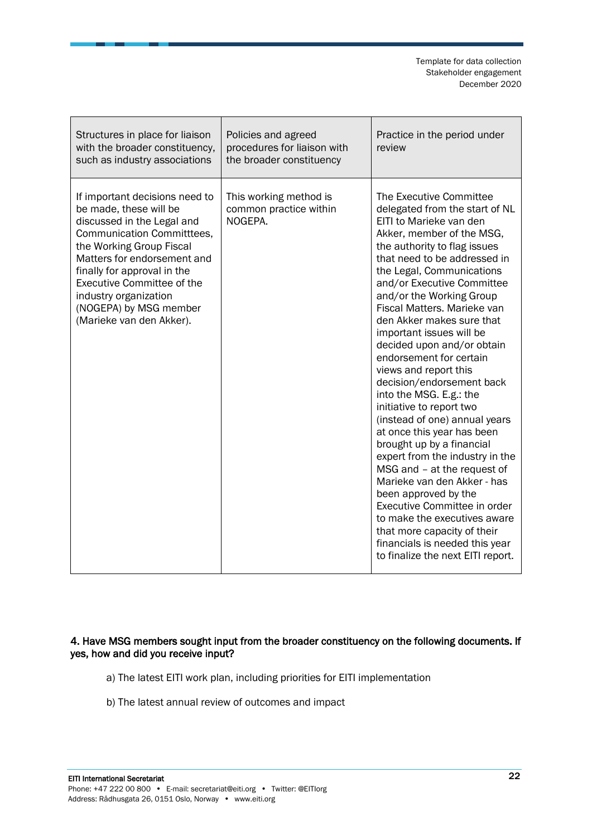| Structures in place for liaison<br>with the broader constituency,<br>such as industry associations                                                                                                                                                                                                                                 | Policies and agreed<br>procedures for liaison with<br>the broader constituency | Practice in the period under<br>review                                                                                                                                                                                                                                                                                                                                                                                                                                                                                                                                                                                                                                                                                                                                                                                                                                                                                            |
|------------------------------------------------------------------------------------------------------------------------------------------------------------------------------------------------------------------------------------------------------------------------------------------------------------------------------------|--------------------------------------------------------------------------------|-----------------------------------------------------------------------------------------------------------------------------------------------------------------------------------------------------------------------------------------------------------------------------------------------------------------------------------------------------------------------------------------------------------------------------------------------------------------------------------------------------------------------------------------------------------------------------------------------------------------------------------------------------------------------------------------------------------------------------------------------------------------------------------------------------------------------------------------------------------------------------------------------------------------------------------|
| If important decisions need to<br>be made, these will be<br>discussed in the Legal and<br>Communication Committtees,<br>the Working Group Fiscal<br>Matters for endorsement and<br>finally for approval in the<br><b>Executive Committee of the</b><br>industry organization<br>(NOGEPA) by MSG member<br>(Marieke van den Akker). | This working method is<br>common practice within<br>NOGEPA.                    | The Executive Committee<br>delegated from the start of NL<br>EITI to Marieke van den<br>Akker, member of the MSG,<br>the authority to flag issues<br>that need to be addressed in<br>the Legal, Communications<br>and/or Executive Committee<br>and/or the Working Group<br>Fiscal Matters. Marieke van<br>den Akker makes sure that<br>important issues will be<br>decided upon and/or obtain<br>endorsement for certain<br>views and report this<br>decision/endorsement back<br>into the MSG. E.g.: the<br>initiative to report two<br>(instead of one) annual years<br>at once this year has been<br>brought up by a financial<br>expert from the industry in the<br>MSG and - at the request of<br>Marieke van den Akker - has<br>been approved by the<br>Executive Committee in order<br>to make the executives aware<br>that more capacity of their<br>financials is needed this year<br>to finalize the next EITI report. |

### 4. Have MSG members sought input from the broader constituency on the following documents. If yes, how and did you receive input?

- a) The latest EITI work plan, including priorities for EITI implementation
- b) The latest annual review of outcomes and impact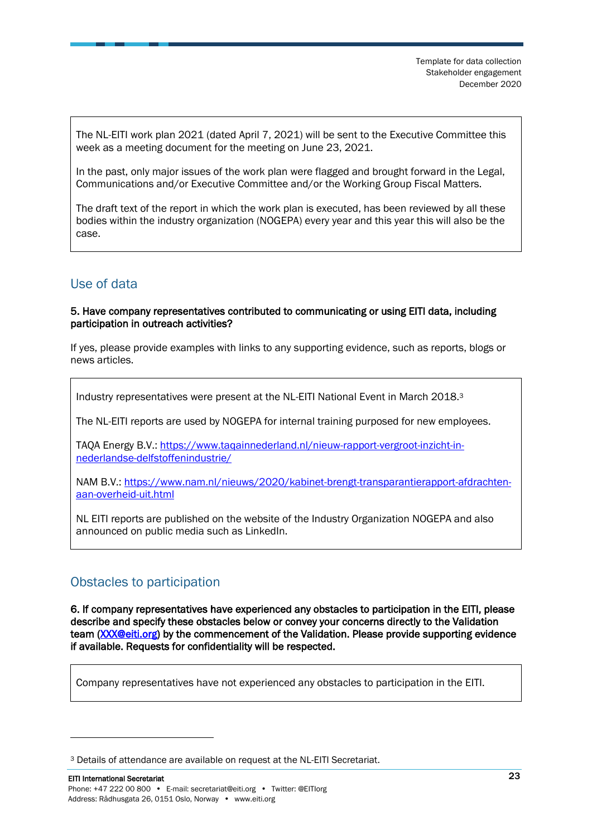The NL-EITI work plan 2021 (dated April 7, 2021) will be sent to the Executive Committee this week as a meeting document for the meeting on June 23, 2021.

In the past, only major issues of the work plan were flagged and brought forward in the Legal, Communications and/or Executive Committee and/or the Working Group Fiscal Matters.

The draft text of the report in which the work plan is executed, has been reviewed by all these bodies within the industry organization (NOGEPA) every year and this year this will also be the case.

### <span id="page-22-0"></span>Use of data

#### 5. Have company representatives contributed to communicating or using EITI data, including participation in outreach activities?

If yes, please provide examples with links to any supporting evidence, such as reports, blogs or news articles.

Industry representatives were present at the NL-EITI National Event in March 2018.<sup>3</sup>

The NL-EITI reports are used by NOGEPA for internal training purposed for new employees.

TAQA Energy B.V.: [https://www.taqainnederland.nl/nieuw-rapport-vergroot-inzicht-in](https://www.taqainnederland.nl/nieuw-rapport-vergroot-inzicht-in-nederlandse-delfstoffenindustrie/)[nederlandse-delfstoffenindustrie/](https://www.taqainnederland.nl/nieuw-rapport-vergroot-inzicht-in-nederlandse-delfstoffenindustrie/)

NAM B.V.: [https://www.nam.nl/nieuws/2020/kabinet-brengt-transparantierapport-afdrachten](https://www.nam.nl/nieuws/2020/kabinet-brengt-transparantierapport-afdrachten-aan-overheid-uit.html)[aan-overheid-uit.html](https://www.nam.nl/nieuws/2020/kabinet-brengt-transparantierapport-afdrachten-aan-overheid-uit.html)

NL EITI reports are published on the website of the Industry Organization NOGEPA and also announced on public media such as LinkedIn.

### <span id="page-22-1"></span>Obstacles to participation

6. If company representatives have experienced any obstacles to participation in the EITI, please describe and specify these obstacles below or convey your concerns directly to the Validation team [\(XXX@eiti.org\)](mailto:XXX@eiti.org) by the commencement of the Validation. Please provide supporting evidence if available. Requests for confidentiality will be respected.

Company representatives have not experienced any obstacles to participation in the EITI.

<sup>3</sup> Details of attendance are available on request at the NL-EITI Secretariat.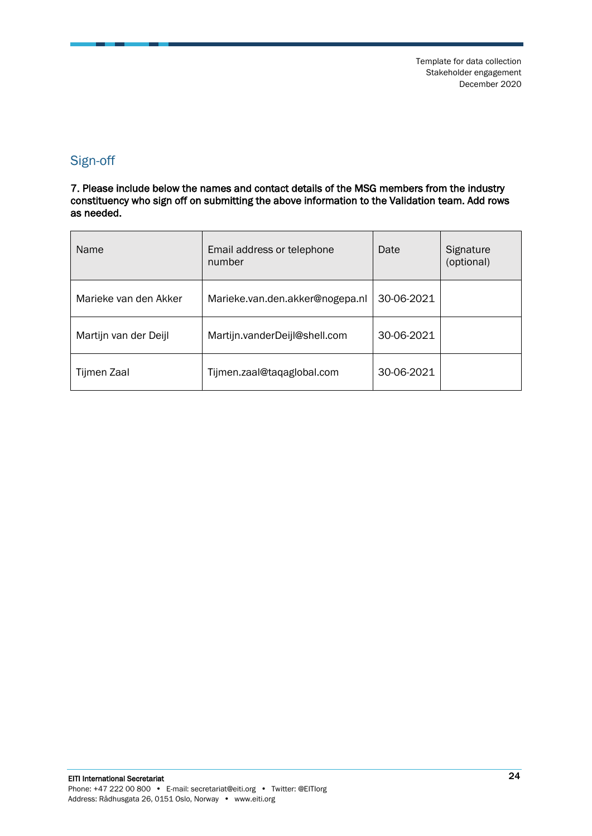### <span id="page-23-0"></span>Sign-off

7. Please include below the names and contact details of the MSG members from the industry constituency who sign off on submitting the above information to the Validation team. Add rows as needed.

| Name                  | Email address or telephone<br>number | Date       | Signature<br>(optional) |
|-----------------------|--------------------------------------|------------|-------------------------|
| Marieke van den Akker | Marieke.van.den.akker@nogepa.nl      | 30-06-2021 |                         |
| Martijn van der Deijl | Martijn.vanderDeijl@shell.com        | 30-06-2021 |                         |
| Tijmen Zaal           | Tijmen.zaal@taqaglobal.com           | 30-06-2021 |                         |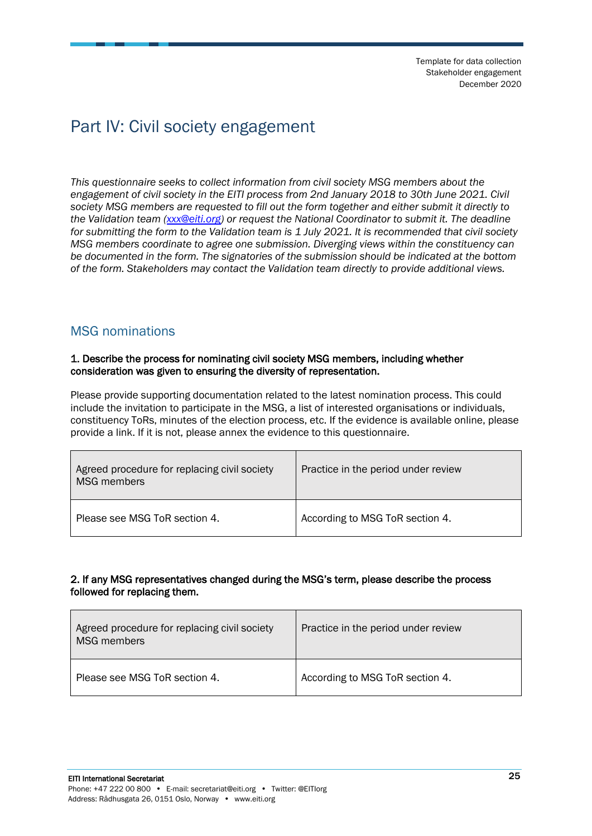## <span id="page-24-0"></span>Part IV: Civil society engagement

*This questionnaire seeks to collect information from civil society MSG members about the engagement of civil society in the EITI process from 2nd January 2018 to 30th June 2021. Civil society MSG members are requested to fill out the form together and either submit it directly to the Validation team [\(xxx@eiti.org\)](mailto:xxx@eiti.org) or request the National Coordinator to submit it. The deadline for submitting the form to the Validation team is 1 July 2021. It is recommended that civil society MSG members coordinate to agree one submission. Diverging views within the constituency can be documented in the form. The signatories of the submission should be indicated at the bottom of the form. Stakeholders may contact the Validation team directly to provide additional views.*

### <span id="page-24-1"></span>MSG nominations

#### 1. Describe the process for nominating civil society MSG members, including whether consideration was given to ensuring the diversity of representation.

Please provide supporting documentation related to the latest nomination process. This could include the invitation to participate in the MSG, a list of interested organisations or individuals, constituency ToRs, minutes of the election process, etc. If the evidence is available online, please provide a link. If it is not, please annex the evidence to this questionnaire.

| Agreed procedure for replacing civil society<br>MSG members | Practice in the period under review |
|-------------------------------------------------------------|-------------------------------------|
| Please see MSG ToR section 4.                               | According to MSG ToR section 4.     |

### 2. If any MSG representatives changed during the MSG's term, please describe the process followed for replacing them.

| Agreed procedure for replacing civil society<br><b>MSG</b> members | Practice in the period under review |
|--------------------------------------------------------------------|-------------------------------------|
| Please see MSG ToR section 4.                                      | According to MSG ToR section 4.     |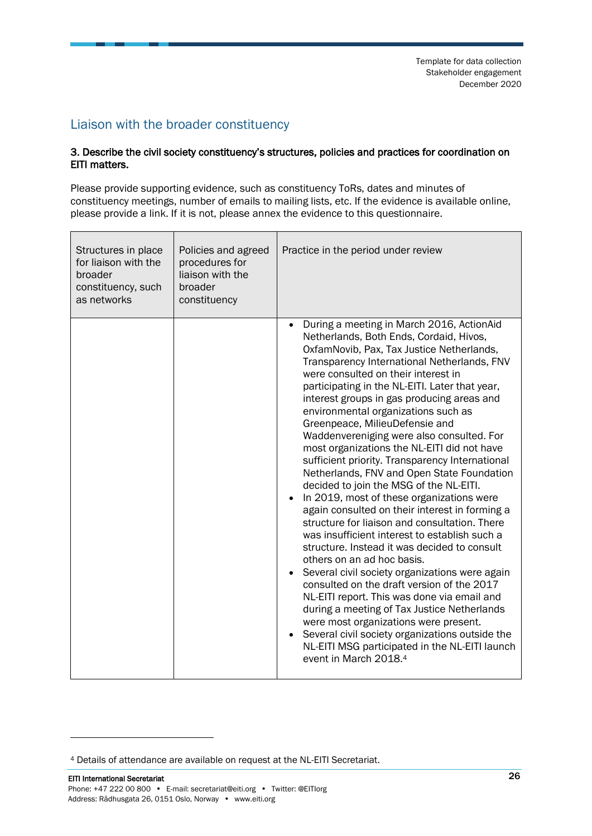### <span id="page-25-0"></span>Liaison with the broader constituency

#### 3. Describe the civil society constituency's structures, policies and practices for coordination on EITI matters.

Please provide supporting evidence, such as constituency ToRs, dates and minutes of constituency meetings, number of emails to mailing lists, etc. If the evidence is available online, please provide a link. If it is not, please annex the evidence to this questionnaire.

| Structures in place<br>for liaison with the<br>broader<br>constituency, such<br>as networks | Policies and agreed<br>procedures for<br>liaison with the<br>broader<br>constituency | Practice in the period under review                                                                                                                                                                                                                                                                                                                                                                                                                                                                                                                                                                                                                                                                                                                                                                                                                                                                                                                                                                                                                                                                                                                                                                                                                                                                       |  |
|---------------------------------------------------------------------------------------------|--------------------------------------------------------------------------------------|-----------------------------------------------------------------------------------------------------------------------------------------------------------------------------------------------------------------------------------------------------------------------------------------------------------------------------------------------------------------------------------------------------------------------------------------------------------------------------------------------------------------------------------------------------------------------------------------------------------------------------------------------------------------------------------------------------------------------------------------------------------------------------------------------------------------------------------------------------------------------------------------------------------------------------------------------------------------------------------------------------------------------------------------------------------------------------------------------------------------------------------------------------------------------------------------------------------------------------------------------------------------------------------------------------------|--|
|                                                                                             |                                                                                      | During a meeting in March 2016, ActionAid<br>$\bullet$<br>Netherlands, Both Ends, Cordaid, Hivos,<br>OxfamNovib, Pax, Tax Justice Netherlands,<br>Transparency International Netherlands, FNV<br>were consulted on their interest in<br>participating in the NL-EITI. Later that year,<br>interest groups in gas producing areas and<br>environmental organizations such as<br>Greenpeace, MilieuDefensie and<br>Waddenvereniging were also consulted. For<br>most organizations the NL-EITI did not have<br>sufficient priority. Transparency International<br>Netherlands, FNV and Open State Foundation<br>decided to join the MSG of the NL-EITI.<br>In 2019, most of these organizations were<br>again consulted on their interest in forming a<br>structure for liaison and consultation. There<br>was insufficient interest to establish such a<br>structure. Instead it was decided to consult<br>others on an ad hoc basis.<br>Several civil society organizations were again<br>consulted on the draft version of the 2017<br>NL-EITI report. This was done via email and<br>during a meeting of Tax Justice Netherlands<br>were most organizations were present.<br>Several civil society organizations outside the<br>NL-EITI MSG participated in the NL-EITI launch<br>event in March 2018.4 |  |

<sup>4</sup> Details of attendance are available on request at the NL-EITI Secretariat.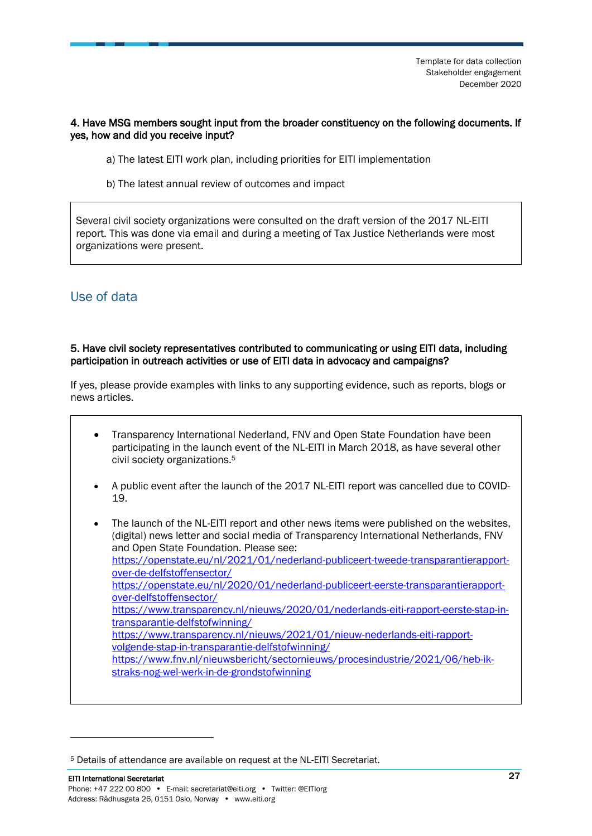### 4. Have MSG members sought input from the broader constituency on the following documents. If yes, how and did you receive input?

- a) The latest EITI work plan, including priorities for EITI implementation
- b) The latest annual review of outcomes and impact

Several civil society organizations were consulted on the draft version of the 2017 NL-EITI report. This was done via email and during a meeting of Tax Justice Netherlands were most organizations were present.

### <span id="page-26-0"></span>Use of data

#### 5. Have civil society representatives contributed to communicating or using EITI data, including participation in outreach activities or use of EITI data in advocacy and campaigns?

If yes, please provide examples with links to any supporting evidence, such as reports, blogs or news articles.

- Transparency International Nederland, FNV and Open State Foundation have been participating in the launch event of the NL-EITI in March 2018, as have several other civil society organizations. 5
- A public event after the launch of the 2017 NL-EITI report was cancelled due to COVID-19.
- The launch of the NL-EITI report and other news items were published on the websites, (digital) news letter and social media of Transparency International Netherlands, FNV and Open State Foundation. Please see: [https://openstate.eu/nl/2021/01/nederland-publiceert-tweede-transparantierapport](https://openstate.eu/nl/2021/01/nederland-publiceert-tweede-transparantierapport-over-de-delfstoffensector/)[over-de-delfstoffensector/](https://openstate.eu/nl/2021/01/nederland-publiceert-tweede-transparantierapport-over-de-delfstoffensector/) [https://openstate.eu/nl/2020/01/nederland-publiceert-eerste-transparantierapport](https://openstate.eu/nl/2020/01/nederland-publiceert-eerste-transparantierapport-over-delfstoffensector/)[over-delfstoffensector/](https://openstate.eu/nl/2020/01/nederland-publiceert-eerste-transparantierapport-over-delfstoffensector/) [https://www.transparency.nl/nieuws/2020/01/nederlands-eiti-rapport-eerste-stap-in](https://www.transparency.nl/nieuws/2020/01/nederlands-eiti-rapport-eerste-stap-in-transparantie-delfstofwinning/)[transparantie-delfstofwinning/](https://www.transparency.nl/nieuws/2020/01/nederlands-eiti-rapport-eerste-stap-in-transparantie-delfstofwinning/) [https://www.transparency.nl/nieuws/2021/01/nieuw-nederlands-eiti-rapport](https://www.transparency.nl/nieuws/2021/01/nieuw-nederlands-eiti-rapport-volgende-stap-in-transparantie-delfstofwinning/)[volgende-stap-in-transparantie-delfstofwinning/](https://www.transparency.nl/nieuws/2021/01/nieuw-nederlands-eiti-rapport-volgende-stap-in-transparantie-delfstofwinning/) [https://www.fnv.nl/nieuwsbericht/sectornieuws/procesindustrie/2021/06/heb-ik](https://www.fnv.nl/nieuwsbericht/sectornieuws/procesindustrie/2021/06/heb-ik-straks-nog-wel-werk-in-de-grondstofwinning)[straks-nog-wel-werk-in-de-grondstofwinning](https://www.fnv.nl/nieuwsbericht/sectornieuws/procesindustrie/2021/06/heb-ik-straks-nog-wel-werk-in-de-grondstofwinning)

<sup>5</sup> Details of attendance are available on request at the NL-EITI Secretariat.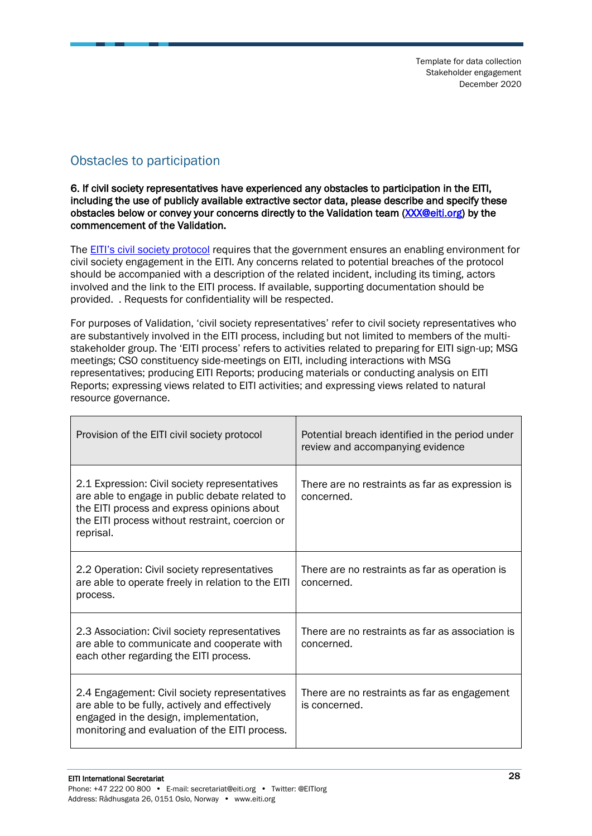### <span id="page-27-0"></span>Obstacles to participation

6. If civil society representatives have experienced any obstacles to participation in the EITI, including the use of publicly available extractive sector data, please describe and specify these obstacles below or convey your concerns directly to the Validation team [\(XXX@eiti.org\)](mailto:XXX@eiti.org) by the commencement of the Validation.

The **[EITI's civil society protocol](https://eiti.org/document/eiti-protocol-participation-of-civil-society) requires that the government ensures an enabling environment for** civil society engagement in the EITI. Any concerns related to potential breaches of the protocol should be accompanied with a description of the related incident, including its timing, actors involved and the link to the EITI process. If available, supporting documentation should be provided. . Requests for confidentiality will be respected.

For purposes of Validation, 'civil society representatives' refer to civil society representatives who are substantively involved in the EITI process, including but not limited to members of the multistakeholder group. The 'EITI process' refers to activities related to preparing for EITI sign-up; MSG meetings; CSO constituency side-meetings on EITI, including interactions with MSG representatives; producing EITI Reports; producing materials or conducting analysis on EITI Reports; expressing views related to EITI activities; and expressing views related to natural resource governance.

| Provision of the EITI civil society protocol                                                                                                                                                                   | Potential breach identified in the period under<br>review and accompanying evidence |  |
|----------------------------------------------------------------------------------------------------------------------------------------------------------------------------------------------------------------|-------------------------------------------------------------------------------------|--|
| 2.1 Expression: Civil society representatives<br>are able to engage in public debate related to<br>the EITI process and express opinions about<br>the EITI process without restraint, coercion or<br>reprisal. | There are no restraints as far as expression is<br>concerned.                       |  |
| 2.2 Operation: Civil society representatives<br>are able to operate freely in relation to the EITI<br>process.                                                                                                 | There are no restraints as far as operation is<br>concerned.                        |  |
| 2.3 Association: Civil society representatives<br>are able to communicate and cooperate with<br>each other regarding the EITI process.                                                                         | There are no restraints as far as association is<br>concerned.                      |  |
| 2.4 Engagement: Civil society representatives<br>are able to be fully, actively and effectively<br>engaged in the design, implementation,<br>monitoring and evaluation of the EITI process.                    | There are no restraints as far as engagement<br>is concerned.                       |  |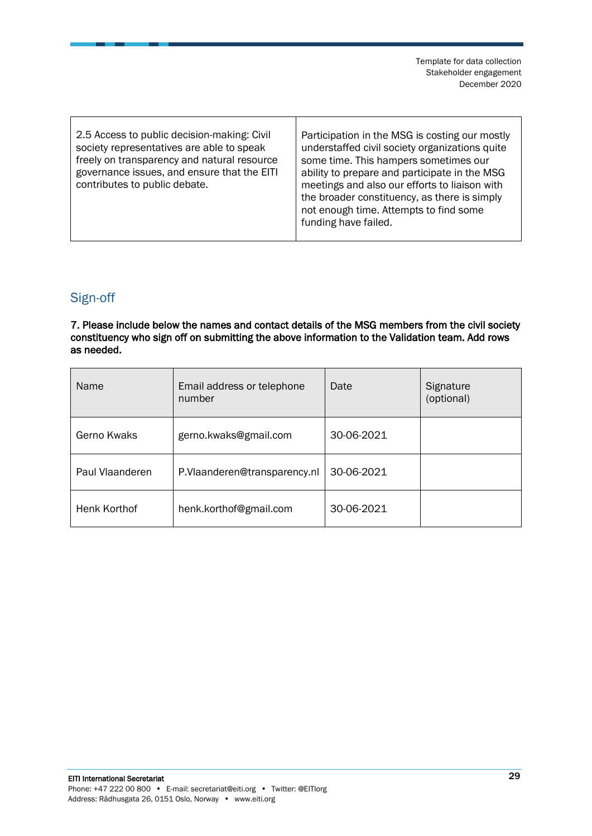| 2.5 Access to public decision-making: Civil<br>society representatives are able to speak<br>freely on transparency and natural resource<br>governance issues, and ensure that the EITI<br>contributes to public debate. | Participation in the MSG is costing our mostly<br>understaffed civil society organizations quite<br>some time. This hampers sometimes our<br>ability to prepare and participate in the MSG<br>meetings and also our efforts to liaison with<br>the broader constituency, as there is simply<br>not enough time. Attempts to find some<br>funding have failed. |
|-------------------------------------------------------------------------------------------------------------------------------------------------------------------------------------------------------------------------|---------------------------------------------------------------------------------------------------------------------------------------------------------------------------------------------------------------------------------------------------------------------------------------------------------------------------------------------------------------|
|                                                                                                                                                                                                                         |                                                                                                                                                                                                                                                                                                                                                               |

### <span id="page-28-0"></span>Sign-off

П

7. Please include below the names and contact details of the MSG members from the civil society constituency who sign off on submitting the above information to the Validation team. Add rows as needed.

| Name            | Email address or telephone<br>number | Date       | Signature<br>(optional) |
|-----------------|--------------------------------------|------------|-------------------------|
| Gerno Kwaks     | gerno.kwaks@gmail.com                | 30-06-2021 |                         |
| Paul Vlaanderen | P.Vlaanderen@transparency.nl         | 30-06-2021 |                         |
| Henk Korthof    | henk.korthof@gmail.com               | 30-06-2021 |                         |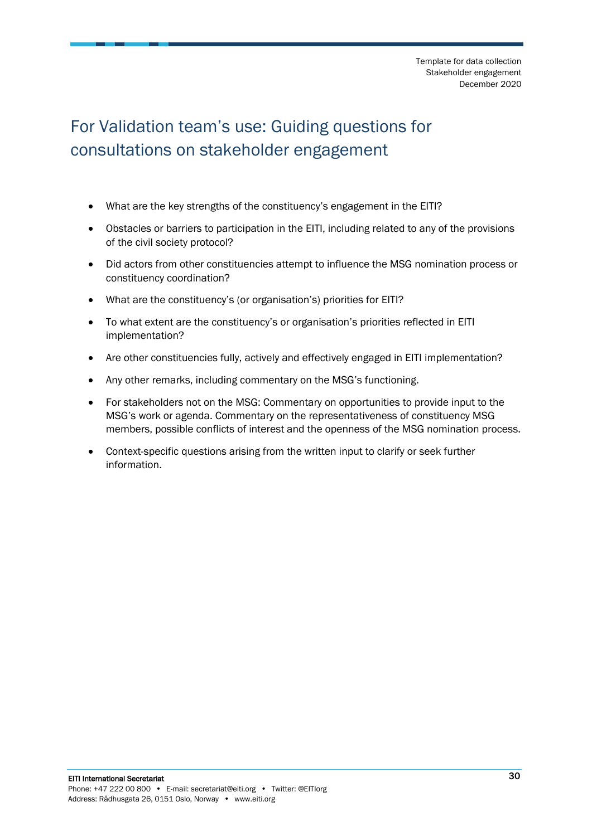# <span id="page-29-0"></span>For Validation team's use: Guiding questions for consultations on stakeholder engagement

- What are the key strengths of the constituency's engagement in the EITI?
- Obstacles or barriers to participation in the EITI, including related to any of the provisions of the civil society protocol?
- Did actors from other constituencies attempt to influence the MSG nomination process or constituency coordination?
- What are the constituency's (or organisation's) priorities for EITI?
- To what extent are the constituency's or organisation's priorities reflected in EITI implementation?
- Are other constituencies fully, actively and effectively engaged in EITI implementation?
- Any other remarks, including commentary on the MSG's functioning.
- For stakeholders not on the MSG: Commentary on opportunities to provide input to the MSG's work or agenda. Commentary on the representativeness of constituency MSG members, possible conflicts of interest and the openness of the MSG nomination process.
- Context-specific questions arising from the written input to clarify or seek further information.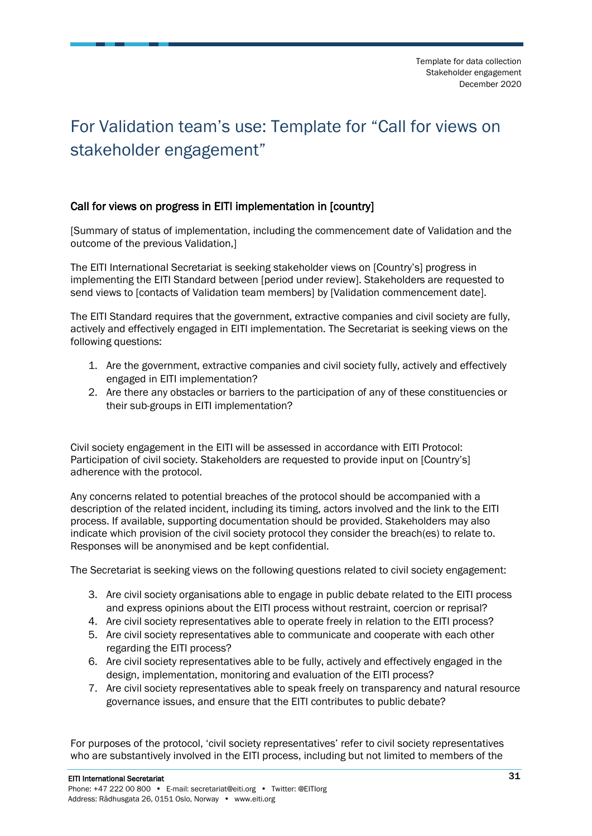# <span id="page-30-0"></span>For Validation team's use: Template for "Call for views on stakeholder engagement"

### Call for views on progress in EITI implementation in [country]

[Summary of status of implementation, including the commencement date of Validation and the outcome of the previous Validation,]

The EITI International Secretariat is seeking stakeholder views on [Country's] progress in implementing the EITI Standard between [period under review]. Stakeholders are requested to send views to [contacts of Validation team members] by [Validation commencement date].

The EITI Standard requires that the government, extractive companies and civil society are fully, actively and effectively engaged in EITI implementation. The Secretariat is seeking views on the following questions:

- 1. Are the government, extractive companies and civil society fully, actively and effectively engaged in EITI implementation?
- 2. Are there any obstacles or barriers to the participation of any of these constituencies or their sub-groups in EITI implementation?

Civil society engagement in the EITI will be assessed in accordance with EITI Protocol: Participation of civil society. Stakeholders are requested to provide input on [Country's] adherence with the protocol.

Any concerns related to potential breaches of the protocol should be accompanied with a description of the related incident, including its timing, actors involved and the link to the EITI process. If available, supporting documentation should be provided. Stakeholders may also indicate which provision of the civil society protocol they consider the breach(es) to relate to. Responses will be anonymised and be kept confidential.

The Secretariat is seeking views on the following questions related to civil society engagement:

- 3. Are civil society organisations able to engage in public debate related to the EITI process and express opinions about the EITI process without restraint, coercion or reprisal?
- 4. Are civil society representatives able to operate freely in relation to the EITI process?
- 5. Are civil society representatives able to communicate and cooperate with each other regarding the EITI process?
- 6. Are civil society representatives able to be fully, actively and effectively engaged in the design, implementation, monitoring and evaluation of the EITI process?
- 7. Are civil society representatives able to speak freely on transparency and natural resource governance issues, and ensure that the EITI contributes to public debate?

For purposes of the protocol, 'civil society representatives' refer to civil society representatives who are substantively involved in the EITI process, including but not limited to members of the